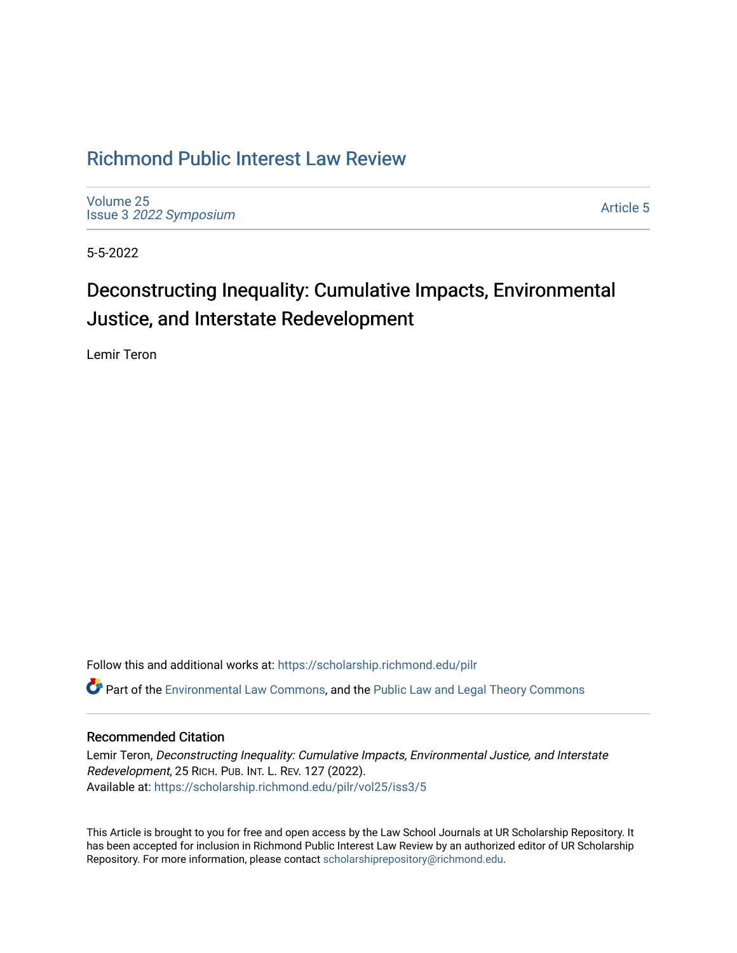# [Richmond Public Interest Law Review](https://scholarship.richmond.edu/pilr)

[Volume 25](https://scholarship.richmond.edu/pilr/vol25) Issue 3 [2022 Symposium](https://scholarship.richmond.edu/pilr/vol25/iss3)

[Article 5](https://scholarship.richmond.edu/pilr/vol25/iss3/5) 

5-5-2022

# Deconstructing Inequality: Cumulative Impacts, Environmental Justice, and Interstate Redevelopment

Lemir Teron

Follow this and additional works at: [https://scholarship.richmond.edu/pilr](https://scholarship.richmond.edu/pilr?utm_source=scholarship.richmond.edu%2Fpilr%2Fvol25%2Fiss3%2F5&utm_medium=PDF&utm_campaign=PDFCoverPages) 

Part of the [Environmental Law Commons](http://network.bepress.com/hgg/discipline/599?utm_source=scholarship.richmond.edu%2Fpilr%2Fvol25%2Fiss3%2F5&utm_medium=PDF&utm_campaign=PDFCoverPages), and the [Public Law and Legal Theory Commons](http://network.bepress.com/hgg/discipline/871?utm_source=scholarship.richmond.edu%2Fpilr%2Fvol25%2Fiss3%2F5&utm_medium=PDF&utm_campaign=PDFCoverPages)

# Recommended Citation

Lemir Teron, Deconstructing Inequality: Cumulative Impacts, Environmental Justice, and Interstate Redevelopment, 25 RICH. PUB. INT. L. REV. 127 (2022). Available at: [https://scholarship.richmond.edu/pilr/vol25/iss3/5](https://scholarship.richmond.edu/pilr/vol25/iss3/5?utm_source=scholarship.richmond.edu%2Fpilr%2Fvol25%2Fiss3%2F5&utm_medium=PDF&utm_campaign=PDFCoverPages)

This Article is brought to you for free and open access by the Law School Journals at UR Scholarship Repository. It has been accepted for inclusion in Richmond Public Interest Law Review by an authorized editor of UR Scholarship Repository. For more information, please contact [scholarshiprepository@richmond.edu](mailto:scholarshiprepository@richmond.edu).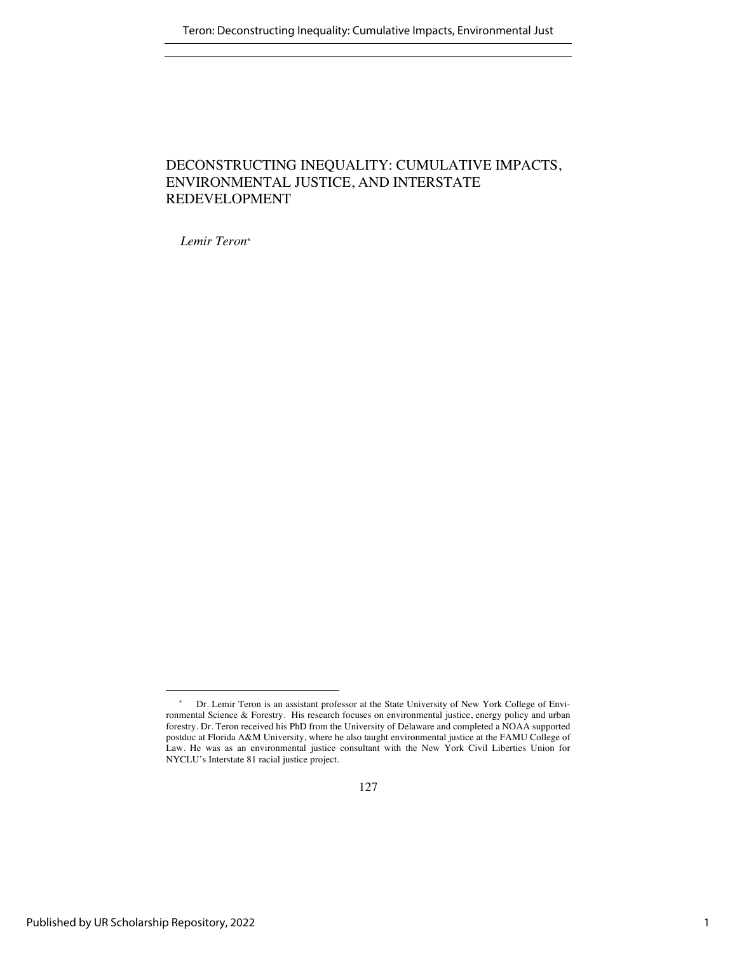# DECONSTRUCTING INEQUALITY: CUMULATIVE IMPACTS, ENVIRONMENTAL JUSTICE, AND INTERSTATE REDEVELOPMENT

*Lemir Teron\**

<sup>\*</sup> Dr. Lemir Teron is an assistant professor at the State University of New York College of Environmental Science & Forestry. His research focuses on environmental justice, energy policy and urban forestry. Dr. Teron received his PhD from the University of Delaware and completed a NOAA supported postdoc at Florida A&M University, where he also taught environmental justice at the FAMU College of Law. He was as an environmental justice consultant with the New York Civil Liberties Union for NYCLU's Interstate 81 racial justice project.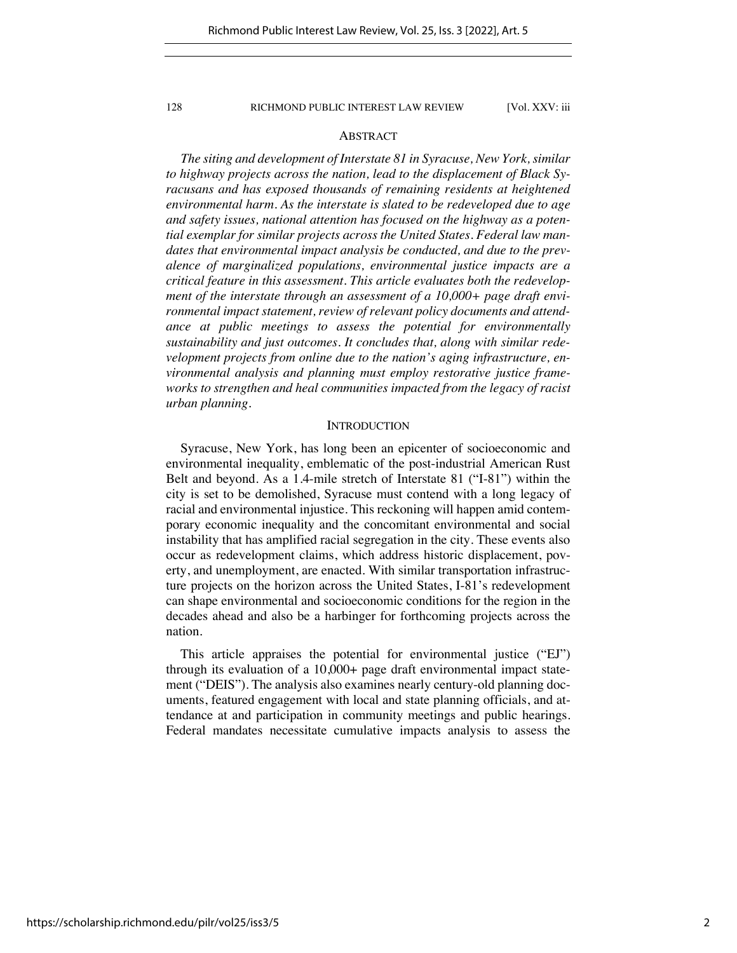# ABSTRACT

*The siting and development of Interstate 81 in Syracuse, New York, similar to highway projects across the nation, lead to the displacement of Black Syracusans and has exposed thousands of remaining residents at heightened environmental harm. As the interstate is slated to be redeveloped due to age and safety issues, national attention has focused on the highway as a potential exemplar for similar projects across the United States. Federal law mandates that environmental impact analysis be conducted, and due to the prevalence of marginalized populations, environmental justice impacts are a critical feature in this assessment. This article evaluates both the redevelopment of the interstate through an assessment of a 10,000+ page draft environmental impact statement, review of relevant policy documents and attendance at public meetings to assess the potential for environmentally sustainability and just outcomes. It concludes that, along with similar redevelopment projects from online due to the nation's aging infrastructure, environmental analysis and planning must employ restorative justice frameworks to strengthen and heal communities impacted from the legacy of racist urban planning.*

#### **INTRODUCTION**

Syracuse, New York, has long been an epicenter of socioeconomic and environmental inequality, emblematic of the post-industrial American Rust Belt and beyond. As a 1.4-mile stretch of Interstate 81 ("I-81") within the city is set to be demolished, Syracuse must contend with a long legacy of racial and environmental injustice. This reckoning will happen amid contemporary economic inequality and the concomitant environmental and social instability that has amplified racial segregation in the city. These events also occur as redevelopment claims, which address historic displacement, poverty, and unemployment, are enacted. With similar transportation infrastructure projects on the horizon across the United States, I-81's redevelopment can shape environmental and socioeconomic conditions for the region in the decades ahead and also be a harbinger for forthcoming projects across the nation.

This article appraises the potential for environmental justice ("EJ") through its evaluation of a 10,000+ page draft environmental impact statement ("DEIS"). The analysis also examines nearly century-old planning documents, featured engagement with local and state planning officials, and attendance at and participation in community meetings and public hearings. Federal mandates necessitate cumulative impacts analysis to assess the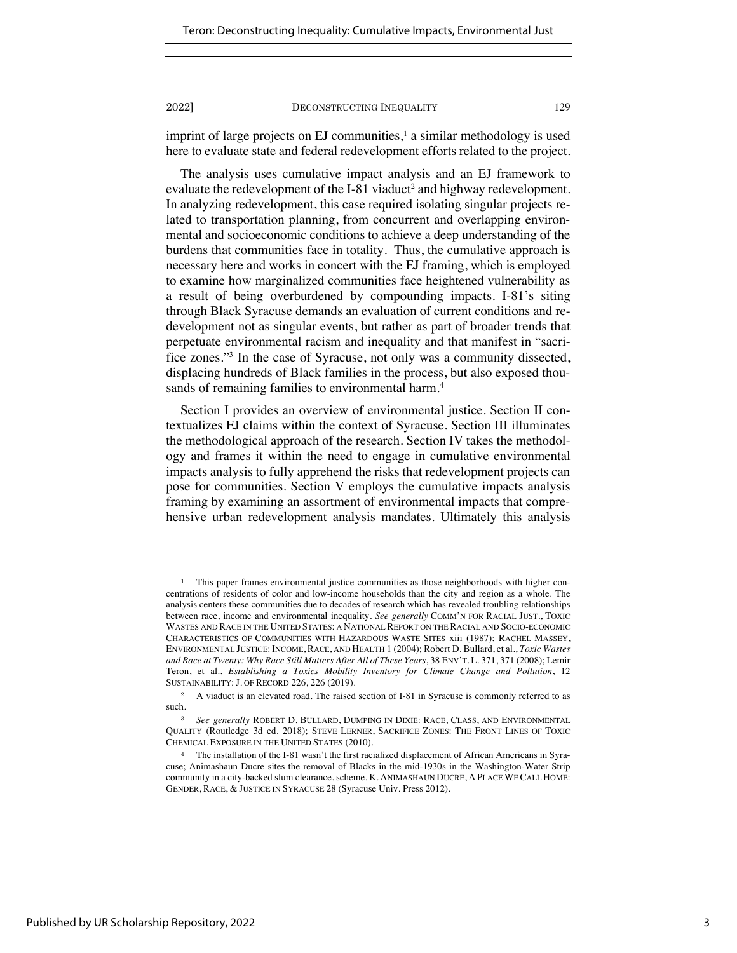imprint of large projects on EJ communities, $\frac{1}{1}$  a similar methodology is used here to evaluate state and federal redevelopment efforts related to the project.

The analysis uses cumulative impact analysis and an EJ framework to evaluate the redevelopment of the I-81 viaduct<sup>2</sup> and highway redevelopment. In analyzing redevelopment, this case required isolating singular projects related to transportation planning, from concurrent and overlapping environmental and socioeconomic conditions to achieve a deep understanding of the burdens that communities face in totality. Thus, the cumulative approach is necessary here and works in concert with the EJ framing, which is employed to examine how marginalized communities face heightened vulnerability as a result of being overburdened by compounding impacts. I-81's siting through Black Syracuse demands an evaluation of current conditions and redevelopment not as singular events, but rather as part of broader trends that perpetuate environmental racism and inequality and that manifest in "sacrifice zones."3 In the case of Syracuse, not only was a community dissected, displacing hundreds of Black families in the process, but also exposed thousands of remaining families to environmental harm.<sup>4</sup>

Section I provides an overview of environmental justice. Section II contextualizes EJ claims within the context of Syracuse. Section III illuminates the methodological approach of the research. Section IV takes the methodology and frames it within the need to engage in cumulative environmental impacts analysis to fully apprehend the risks that redevelopment projects can pose for communities. Section V employs the cumulative impacts analysis framing by examining an assortment of environmental impacts that comprehensive urban redevelopment analysis mandates. Ultimately this analysis

<sup>1</sup> This paper frames environmental justice communities as those neighborhoods with higher concentrations of residents of color and low-income households than the city and region as a whole. The analysis centers these communities due to decades of research which has revealed troubling relationships between race, income and environmental inequality. *See generally* COMM'N FOR RACIAL JUST., TOXIC WASTES AND RACE IN THE UNITED STATES: A NATIONAL REPORT ON THE RACIAL AND SOCIO-ECONOMIC CHARACTERISTICS OF COMMUNITIES WITH HAZARDOUS WASTE SITES xiii (1987); RACHEL MASSEY, ENVIRONMENTAL JUSTICE: INCOME, RACE, AND HEALTH 1 (2004); Robert D. Bullard, et al., *Toxic Wastes and Race at Twenty: Why Race Still Matters After All of These Years*, 38 ENV'T. L. 371, 371 (2008); Lemir Teron, et al., *Establishing a Toxics Mobility Inventory for Climate Change and Pollution*, 12 SUSTAINABILITY: J. OF RECORD 226, 226 (2019).

<sup>&</sup>lt;sup>2</sup> A viaduct is an elevated road. The raised section of I-81 in Syracuse is commonly referred to as such.

<sup>3</sup> *See generally* ROBERT D. BULLARD, DUMPING IN DIXIE: RACE, CLASS, AND ENVIRONMENTAL QUALITY (Routledge 3d ed. 2018); STEVE LERNER, SACRIFICE ZONES: THE FRONT LINES OF TOXIC CHEMICAL EXPOSURE IN THE UNITED STATES (2010).

<sup>4</sup> The installation of the I-81 wasn't the first racialized displacement of African Americans in Syracuse; Animashaun Ducre sites the removal of Blacks in the mid-1930s in the Washington-Water Strip community in a city-backed slum clearance, scheme. K. ANIMASHAUN DUCRE, A PLACE WE CALL HOME: GENDER, RACE, & JUSTICE IN SYRACUSE 28 (Syracuse Univ. Press 2012).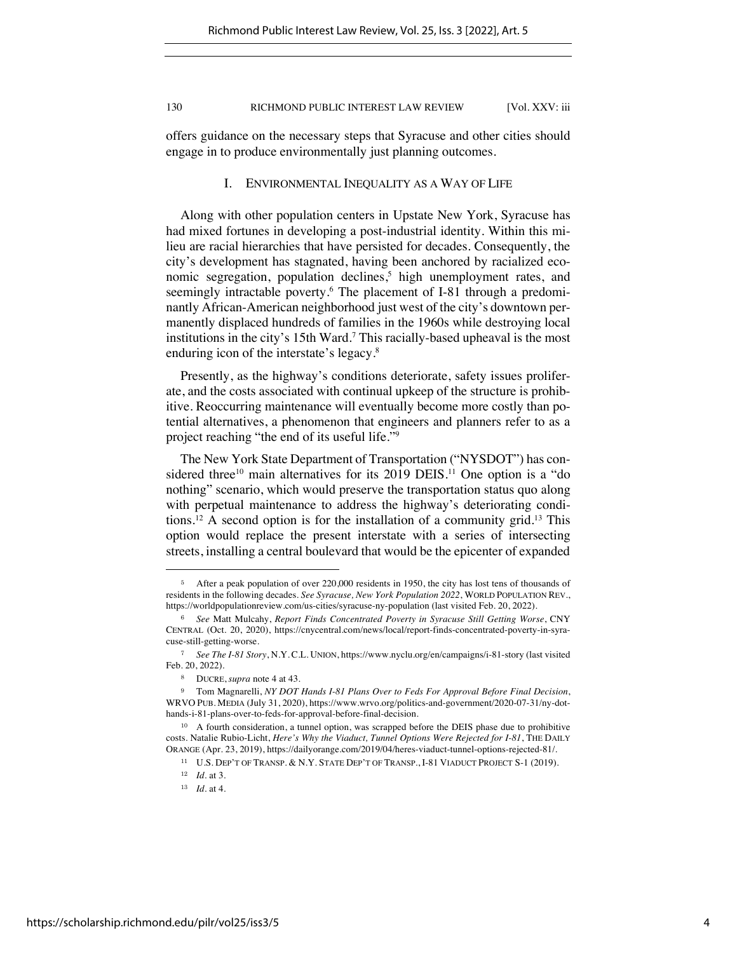offers guidance on the necessary steps that Syracuse and other cities should engage in to produce environmentally just planning outcomes.

## I. ENVIRONMENTAL INEQUALITY AS A WAY OF LIFE

Along with other population centers in Upstate New York, Syracuse has had mixed fortunes in developing a post-industrial identity. Within this milieu are racial hierarchies that have persisted for decades. Consequently, the city's development has stagnated, having been anchored by racialized economic segregation, population declines,<sup>5</sup> high unemployment rates, and seemingly intractable poverty.<sup>6</sup> The placement of I-81 through a predominantly African-American neighborhood just west of the city's downtown permanently displaced hundreds of families in the 1960s while destroying local institutions in the city's 15th Ward.7 This racially-based upheaval is the most enduring icon of the interstate's legacy.8

Presently, as the highway's conditions deteriorate, safety issues proliferate, and the costs associated with continual upkeep of the structure is prohibitive. Reoccurring maintenance will eventually become more costly than potential alternatives, a phenomenon that engineers and planners refer to as a project reaching "the end of its useful life."9

The New York State Department of Transportation ("NYSDOT") has considered three<sup>10</sup> main alternatives for its 2019 DEIS.<sup>11</sup> One option is a "do nothing" scenario, which would preserve the transportation status quo along with perpetual maintenance to address the highway's deteriorating conditions.<sup>12</sup> A second option is for the installation of a community grid.<sup>13</sup> This option would replace the present interstate with a series of intersecting streets, installing a central boulevard that would be the epicenter of expanded

<sup>&</sup>lt;sup>5</sup> After a peak population of over 220,000 residents in 1950, the city has lost tens of thousands of residents in the following decades. *See Syracuse, New York Population 2022*, WORLD POPULATION REV., https://worldpopulationreview.com/us-cities/syracuse-ny-population (last visited Feb. 20, 2022).

<sup>6</sup> *See* Matt Mulcahy, *Report Finds Concentrated Poverty in Syracuse Still Getting Worse*, CNY CENTRAL (Oct. 20, 2020), https://cnycentral.com/news/local/report-finds-concentrated-poverty-in-syracuse-still-getting-worse.

<sup>7</sup> *See The I-81 Story*, N.Y. C.L. UNION, https://www.nyclu.org/en/campaigns/i-81-story (last visited Feb. 20, 2022).

<sup>8</sup> DUCRE, *supra* note 4 at 43.

<sup>9</sup> Tom Magnarelli, *NY DOT Hands I-81 Plans Over to Feds For Approval Before Final Decision*, WRVO PUB. MEDIA (July 31, 2020), https://www.wrvo.org/politics-and-government/2020-07-31/ny-dothands-i-81-plans-over-to-feds-for-approval-before-final-decision.

<sup>&</sup>lt;sup>10</sup> A fourth consideration, a tunnel option, was scrapped before the DEIS phase due to prohibitive costs. Natalie Rubio-Licht, *Here's Why the Viaduct, Tunnel Options Were Rejected for I-81*, THE DAILY ORANGE (Apr. 23, 2019), https://dailyorange.com/2019/04/heres-viaduct-tunnel-options-rejected-81/.

<sup>11</sup> U.S. DEP'T OF TRANSP. & N.Y. STATE DEP'T OF TRANSP., I-81 VIADUCT PROJECT S-1 (2019).

<sup>12</sup> *Id.* at 3.

<sup>13</sup> *Id.* at 4.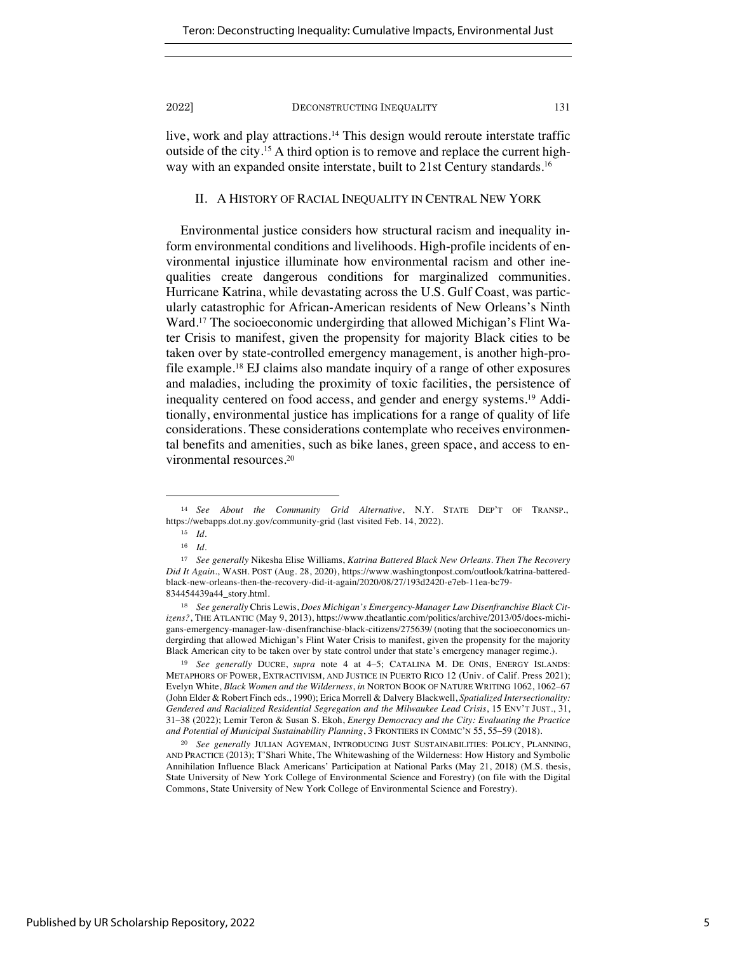live, work and play attractions.<sup>14</sup> This design would reroute interstate traffic outside of the city.15 A third option is to remove and replace the current highway with an expanded onsite interstate, built to 21st Century standards.<sup>16</sup>

# II. A HISTORY OF RACIAL INEQUALITY IN CENTRAL NEW YORK

Environmental justice considers how structural racism and inequality inform environmental conditions and livelihoods. High-profile incidents of environmental injustice illuminate how environmental racism and other inequalities create dangerous conditions for marginalized communities. Hurricane Katrina, while devastating across the U.S. Gulf Coast, was particularly catastrophic for African-American residents of New Orleans's Ninth Ward.17 The socioeconomic undergirding that allowed Michigan's Flint Water Crisis to manifest, given the propensity for majority Black cities to be taken over by state-controlled emergency management, is another high-profile example.18 EJ claims also mandate inquiry of a range of other exposures and maladies, including the proximity of toxic facilities, the persistence of inequality centered on food access, and gender and energy systems.19 Additionally, environmental justice has implications for a range of quality of life considerations. These considerations contemplate who receives environmental benefits and amenities, such as bike lanes, green space, and access to environmental resources.20

<sup>19</sup> *See generally* DUCRE, *supra* note 4 at 4–5; CATALINA M. DE ONIS, ENERGY ISLANDS: METAPHORS OF POWER, EXTRACTIVISM, AND JUSTICE IN PUERTO RICO 12 (Univ. of Calif. Press 2021); Evelyn White, *Black Women and the Wilderness*, *in* NORTON BOOK OF NATURE WRITING 1062, 1062–67 (John Elder & Robert Finch eds., 1990); Erica Morrell & Dalvery Blackwell, *Spatialized Intersectionality: Gendered and Racialized Residential Segregation and the Milwaukee Lead Crisis*, 15 ENV'T JUST., 31, 31–38 (2022); Lemir Teron & Susan S. Ekoh, *Energy Democracy and the City: Evaluating the Practice and Potential of Municipal Sustainability Planning*, 3 FRONTIERS IN COMMC'N 55, 55–59 (2018).

<sup>20</sup> *See generally* JULIAN AGYEMAN, INTRODUCING JUST SUSTAINABILITIES: POLICY, PLANNING, AND PRACTICE (2013); T'Shari White, The Whitewashing of the Wilderness: How History and Symbolic Annihilation Influence Black Americans' Participation at National Parks (May 21, 2018) (M.S. thesis, State University of New York College of Environmental Science and Forestry) (on file with the Digital Commons, State University of New York College of Environmental Science and Forestry).

<sup>14</sup> *See About the Community Grid Alternative*, N.Y. STATE DEP'T OF TRANSP., https://webapps.dot.ny.gov/community-grid (last visited Feb. 14, 2022).

<sup>15</sup> *Id.* 

<sup>16</sup> *Id.*

<sup>17</sup> *See generally* Nikesha Elise Williams, *Katrina Battered Black New Orleans. Then The Recovery Did It Again.*, WASH. POST (Aug. 28, 2020), https://www.washingtonpost.com/outlook/katrina-batteredblack-new-orleans-then-the-recovery-did-it-again/2020/08/27/193d2420-e7eb-11ea-bc79- 834454439a44\_story.html.

<sup>18</sup> *See generally* Chris Lewis, *Does Michigan's Emergency-Manager Law Disenfranchise Black Citizens?*, THE ATLANTIC (May 9, 2013), https://www.theatlantic.com/politics/archive/2013/05/does-michigans-emergency-manager-law-disenfranchise-black-citizens/275639/ (noting that the socioeconomics undergirding that allowed Michigan's Flint Water Crisis to manifest, given the propensity for the majority Black American city to be taken over by state control under that state's emergency manager regime.).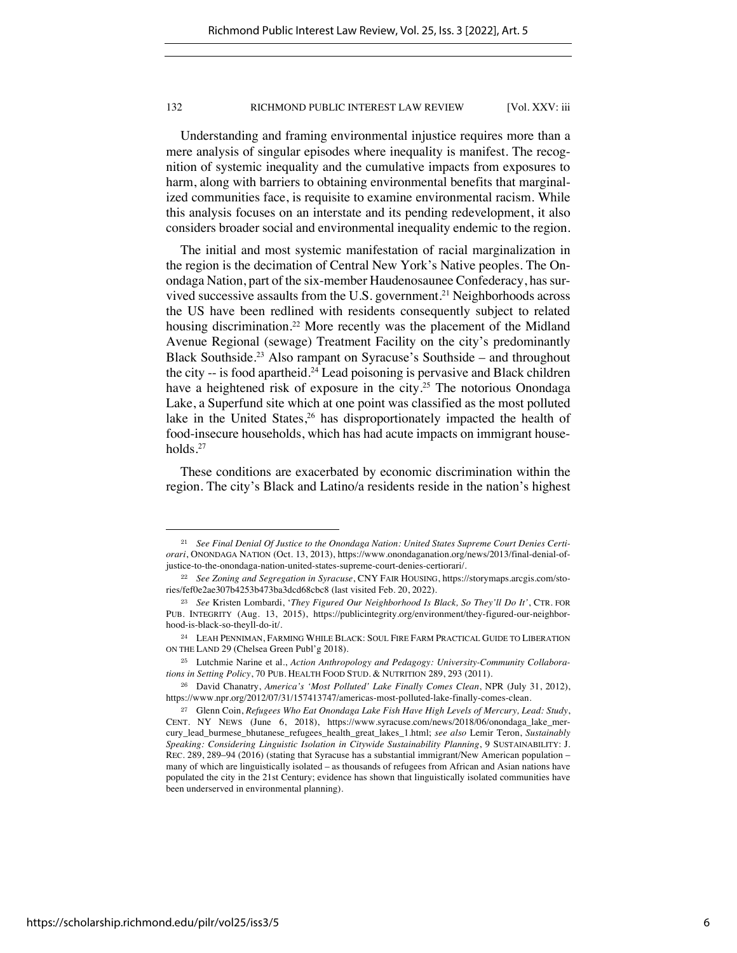Understanding and framing environmental injustice requires more than a mere analysis of singular episodes where inequality is manifest. The recognition of systemic inequality and the cumulative impacts from exposures to harm, along with barriers to obtaining environmental benefits that marginalized communities face, is requisite to examine environmental racism. While this analysis focuses on an interstate and its pending redevelopment, it also considers broader social and environmental inequality endemic to the region.

The initial and most systemic manifestation of racial marginalization in the region is the decimation of Central New York's Native peoples. The Onondaga Nation, part of the six-member Haudenosaunee Confederacy, has survived successive assaults from the U.S. government.<sup>21</sup> Neighborhoods across the US have been redlined with residents consequently subject to related housing discrimination.<sup>22</sup> More recently was the placement of the Midland Avenue Regional (sewage) Treatment Facility on the city's predominantly Black Southside.23 Also rampant on Syracuse's Southside – and throughout the city -- is food apartheid. <sup>24</sup> Lead poisoning is pervasive and Black children have a heightened risk of exposure in the city.<sup>25</sup> The notorious Onondaga Lake, a Superfund site which at one point was classified as the most polluted lake in the United States,<sup>26</sup> has disproportionately impacted the health of food-insecure households, which has had acute impacts on immigrant households.27

These conditions are exacerbated by economic discrimination within the region. The city's Black and Latino/a residents reside in the nation's highest

<sup>21</sup> *See Final Denial Of Justice to the Onondaga Nation: United States Supreme Court Denies Certiorari*, ONONDAGA NATION (Oct. 13, 2013), https://www.onondaganation.org/news/2013/final-denial-ofjustice-to-the-onondaga-nation-united-states-supreme-court-denies-certiorari/.

<sup>22</sup> *See Zoning and Segregation in Syracuse*, CNY FAIR HOUSING, https://storymaps.arcgis.com/stories/fef0e2ae307b4253b473ba3dcd68cbc8 (last visited Feb. 20, 2022).

<sup>23</sup> *See* Kristen Lombardi, '*They Figured Our Neighborhood Is Black, So They'll Do It'*, CTR. FOR PUB. INTEGRITY (Aug. 13, 2015), https://publicintegrity.org/environment/they-figured-our-neighborhood-is-black-so-theyll-do-it/.

<sup>24</sup> LEAH PENNIMAN, FARMING WHILE BLACK: SOUL FIRE FARM PRACTICAL GUIDE TO LIBERATION ON THE LAND 29 (Chelsea Green Publ'g 2018).

<sup>25</sup> Lutchmie Narine et al., *Action Anthropology and Pedagogy: University-Community Collaborations in Setting Policy*, 70 PUB. HEALTH FOOD STUD. & NUTRITION 289, 293 (2011).

<sup>26</sup> David Chanatry, *America's 'Most Polluted' Lake Finally Comes Clean*, NPR (July 31, 2012), https://www.npr.org/2012/07/31/157413747/americas-most-polluted-lake-finally-comes-clean.

<sup>27</sup> Glenn Coin, *Refugees Who Eat Onondaga Lake Fish Have High Levels of Mercury, Lead: Study*, CENT. NY NEWS (June 6, 2018), https://www.syracuse.com/news/2018/06/onondaga\_lake\_mercury\_lead\_burmese\_bhutanese\_refugees\_health\_great\_lakes\_1.html; *see also* Lemir Teron, *Sustainably Speaking: Considering Linguistic Isolation in Citywide Sustainability Planning*, 9 SUSTAINABILITY: J. REC. 289, 289–94 (2016) (stating that Syracuse has a substantial immigrant/New American population – many of which are linguistically isolated – as thousands of refugees from African and Asian nations have populated the city in the 21st Century; evidence has shown that linguistically isolated communities have been underserved in environmental planning).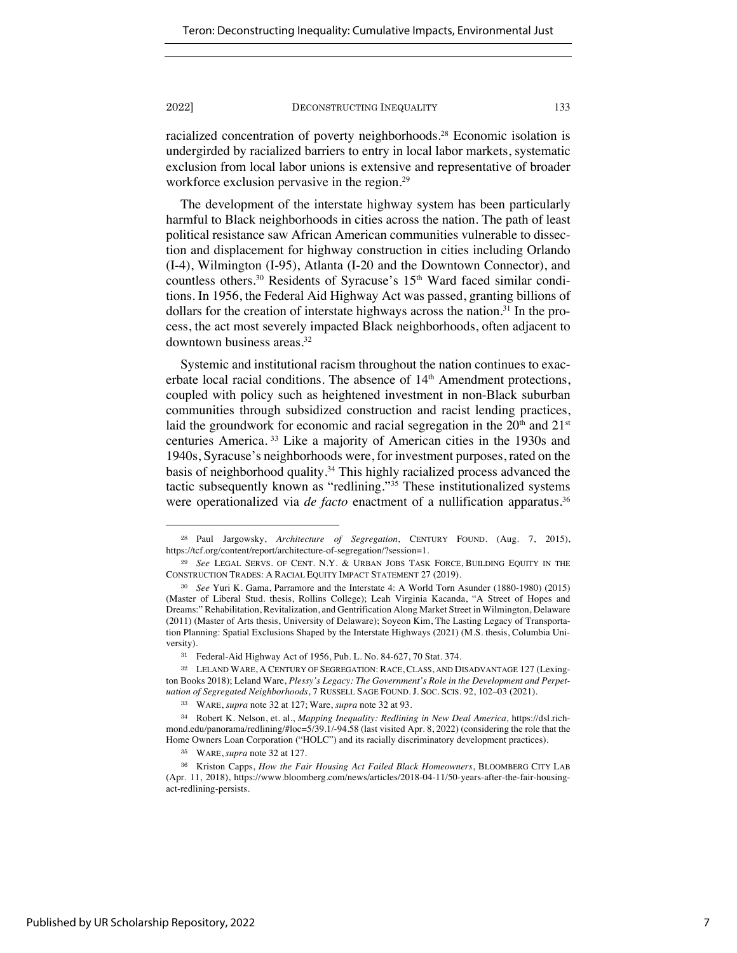racialized concentration of poverty neighborhoods.28 Economic isolation is undergirded by racialized barriers to entry in local labor markets, systematic exclusion from local labor unions is extensive and representative of broader workforce exclusion pervasive in the region.<sup>29</sup>

The development of the interstate highway system has been particularly harmful to Black neighborhoods in cities across the nation. The path of least political resistance saw African American communities vulnerable to dissection and displacement for highway construction in cities including Orlando (I-4), Wilmington (I-95), Atlanta (I-20 and the Downtown Connector), and countless others.<sup>30</sup> Residents of Syracuse's 15<sup>th</sup> Ward faced similar conditions. In 1956, the Federal Aid Highway Act was passed, granting billions of dollars for the creation of interstate highways across the nation.<sup>31</sup> In the process, the act most severely impacted Black neighborhoods, often adjacent to downtown business areas.32

Systemic and institutional racism throughout the nation continues to exacerbate local racial conditions. The absence of 14<sup>th</sup> Amendment protections, coupled with policy such as heightened investment in non-Black suburban communities through subsidized construction and racist lending practices, laid the groundwork for economic and racial segregation in the  $20<sup>th</sup>$  and  $21<sup>st</sup>$ centuries America. <sup>33</sup> Like a majority of American cities in the 1930s and 1940s, Syracuse's neighborhoods were, for investment purposes, rated on the basis of neighborhood quality.34 This highly racialized process advanced the tactic subsequently known as "redlining."35 These institutionalized systems were operationalized via *de facto* enactment of a nullification apparatus.<sup>36</sup>

<sup>28</sup> Paul Jargowsky, *Architecture of Segregation*, CENTURY FOUND. (Aug. 7, 2015), https://tcf.org/content/report/architecture-of-segregation/?session=1.

<sup>29</sup> *See* LEGAL SERVS. OF CENT. N.Y. & URBAN JOBS TASK FORCE, BUILDING EQUITY IN THE CONSTRUCTION TRADES: A RACIAL EQUITY IMPACT STATEMENT 27 (2019).

<sup>30</sup> *See* Yuri K. Gama, Parramore and the Interstate 4: A World Torn Asunder (1880-1980) (2015) (Master of Liberal Stud. thesis, Rollins College); Leah Virginia Kacanda, "A Street of Hopes and Dreams:" Rehabilitation, Revitalization, and Gentrification Along Market Street in Wilmington, Delaware (2011) (Master of Arts thesis, University of Delaware); Soyeon Kim, The Lasting Legacy of Transportation Planning: Spatial Exclusions Shaped by the Interstate Highways (2021) (M.S. thesis, Columbia University).

<sup>31</sup> Federal-Aid Highway Act of 1956, Pub. L. No. 84-627, 70 Stat. 374.

<sup>32</sup> LELAND WARE, A CENTURY OF SEGREGATION: RACE, CLASS, AND DISADVANTAGE 127 (Lexington Books 2018); Leland Ware, *Plessy's Legacy: The Government's Role in the Development and Perpetuation of Segregated Neighborhoods*, 7 RUSSELL SAGE FOUND. J. SOC. SCIS. 92, 102–03 (2021).

<sup>33</sup> WARE, *supra* note 32 at 127; Ware, *supra* note 32 at 93.

<sup>34</sup> Robert K. Nelson, et. al., *Mapping Inequality: Redlining in New Deal America,* https://dsl.richmond.edu/panorama/redlining/#loc=5/39.1/-94.58 (last visited Apr. 8, 2022) (considering the role that the Home Owners Loan Corporation ("HOLC") and its racially discriminatory development practices).

<sup>35</sup> WARE, *supra* note 32 at 127.

<sup>36</sup> Kriston Capps, *How the Fair Housing Act Failed Black Homeowners*, BLOOMBERG CITY LAB (Apr. 11, 2018), https://www.bloomberg.com/news/articles/2018-04-11/50-years-after-the-fair-housingact-redlining-persists.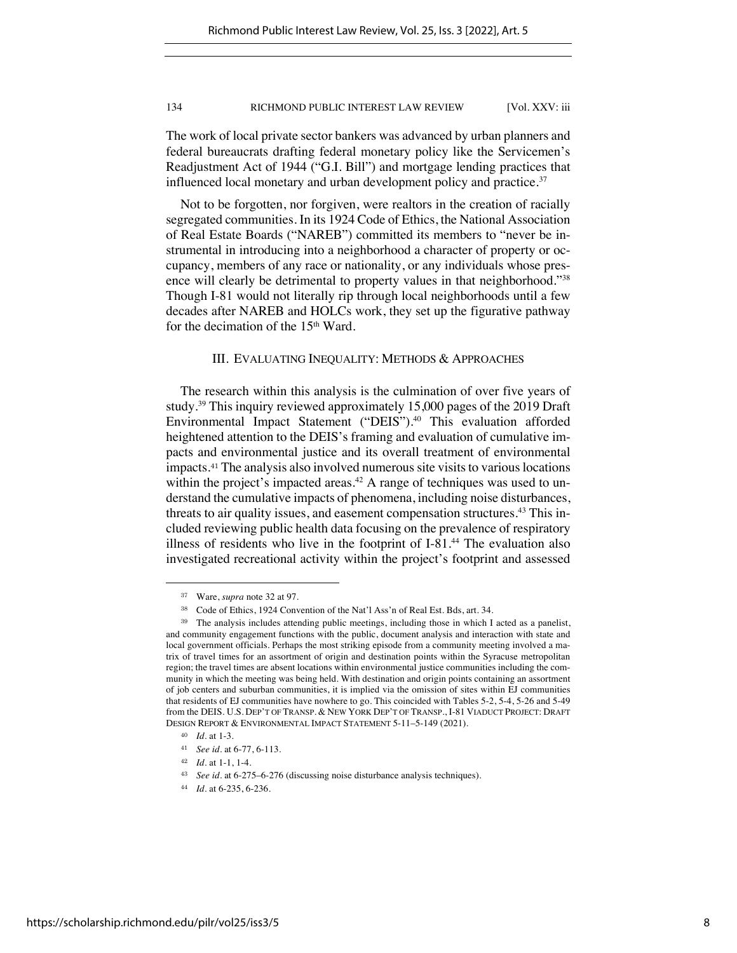The work of local private sector bankers was advanced by urban planners and federal bureaucrats drafting federal monetary policy like the Servicemen's Readjustment Act of 1944 ("G.I. Bill") and mortgage lending practices that influenced local monetary and urban development policy and practice.<sup>37</sup>

Not to be forgotten, nor forgiven, were realtors in the creation of racially segregated communities. In its 1924 Code of Ethics, the National Association of Real Estate Boards ("NAREB") committed its members to "never be instrumental in introducing into a neighborhood a character of property or occupancy, members of any race or nationality, or any individuals whose presence will clearly be detrimental to property values in that neighborhood."38 Though I-81 would not literally rip through local neighborhoods until a few decades after NAREB and HOLCs work, they set up the figurative pathway for the decimation of the  $15<sup>th</sup>$  Ward.

# III. EVALUATING INEQUALITY: METHODS & APPROACHES

The research within this analysis is the culmination of over five years of study.39 This inquiry reviewed approximately 15,000 pages of the 2019 Draft Environmental Impact Statement ("DEIS").<sup>40</sup> This evaluation afforded heightened attention to the DEIS's framing and evaluation of cumulative impacts and environmental justice and its overall treatment of environmental impacts.<sup>41</sup> The analysis also involved numerous site visits to various locations within the project's impacted areas. $42$  A range of techniques was used to understand the cumulative impacts of phenomena, including noise disturbances, threats to air quality issues, and easement compensation structures.<sup>43</sup> This included reviewing public health data focusing on the prevalence of respiratory illness of residents who live in the footprint of I-81.44 The evaluation also investigated recreational activity within the project's footprint and assessed

<sup>37</sup> Ware, *supra* note 32 at 97.

<sup>38</sup> Code of Ethics, 1924 Convention of the Nat'l Ass'n of Real Est. Bds, art. 34.

<sup>39</sup> The analysis includes attending public meetings, including those in which I acted as a panelist, and community engagement functions with the public, document analysis and interaction with state and local government officials. Perhaps the most striking episode from a community meeting involved a matrix of travel times for an assortment of origin and destination points within the Syracuse metropolitan region; the travel times are absent locations within environmental justice communities including the community in which the meeting was being held. With destination and origin points containing an assortment of job centers and suburban communities, it is implied via the omission of sites within EJ communities that residents of EJ communities have nowhere to go. This coincided with Tables 5-2, 5-4, 5-26 and 5-49 from the DEIS. U.S. DEP'T OF TRANSP. & NEW YORK DEP'T OF TRANSP., I-81 VIADUCT PROJECT: DRAFT DESIGN REPORT & ENVIRONMENTAL IMPACT STATEMENT 5-11–5-149 (2021).

<sup>40</sup> *Id.* at 1-3.

<sup>41</sup> *See id.* at 6-77, 6-113.

<sup>42</sup> *Id.* at 1-1, 1-4.

<sup>43</sup> *See id.* at 6-275–6-276 (discussing noise disturbance analysis techniques).

<sup>44</sup> *Id*. at 6-235, 6-236.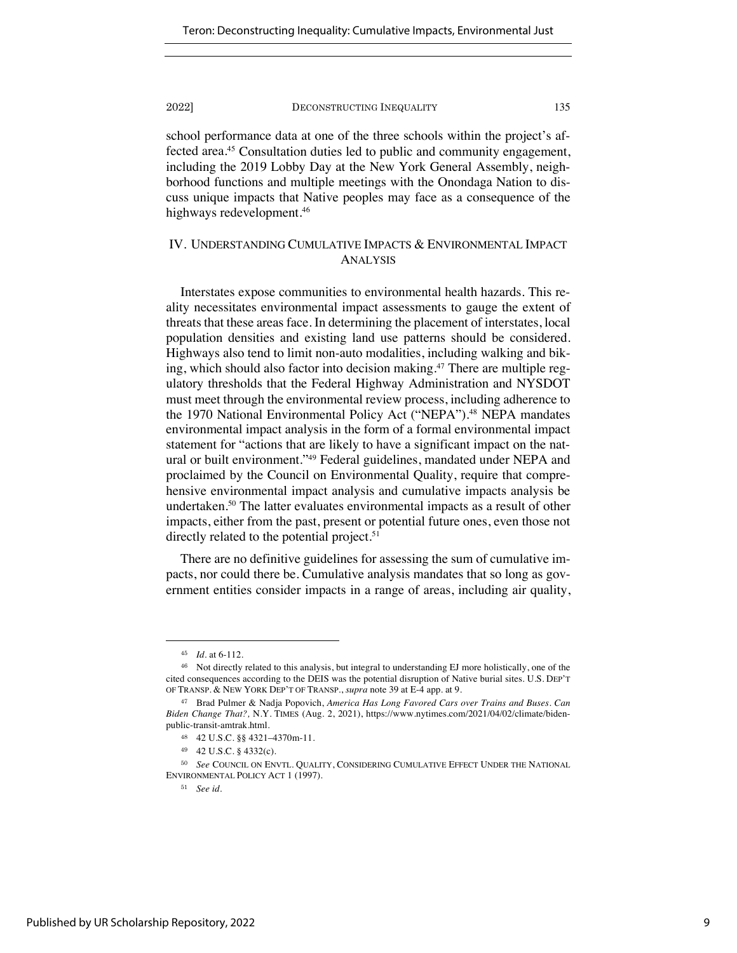school performance data at one of the three schools within the project's affected area.45 Consultation duties led to public and community engagement, including the 2019 Lobby Day at the New York General Assembly, neighborhood functions and multiple meetings with the Onondaga Nation to discuss unique impacts that Native peoples may face as a consequence of the highways redevelopment.<sup>46</sup>

# IV. UNDERSTANDING CUMULATIVE IMPACTS & ENVIRONMENTAL IMPACT ANALYSIS

Interstates expose communities to environmental health hazards. This reality necessitates environmental impact assessments to gauge the extent of threats that these areas face. In determining the placement of interstates, local population densities and existing land use patterns should be considered. Highways also tend to limit non-auto modalities, including walking and biking, which should also factor into decision making.<sup>47</sup> There are multiple regulatory thresholds that the Federal Highway Administration and NYSDOT must meet through the environmental review process, including adherence to the 1970 National Environmental Policy Act ("NEPA").<sup>48</sup> NEPA mandates environmental impact analysis in the form of a formal environmental impact statement for "actions that are likely to have a significant impact on the natural or built environment."<sup>49</sup> Federal guidelines, mandated under NEPA and proclaimed by the Council on Environmental Quality, require that comprehensive environmental impact analysis and cumulative impacts analysis be undertaken.<sup>50</sup> The latter evaluates environmental impacts as a result of other impacts, either from the past, present or potential future ones, even those not directly related to the potential project.<sup>51</sup>

There are no definitive guidelines for assessing the sum of cumulative impacts, nor could there be. Cumulative analysis mandates that so long as government entities consider impacts in a range of areas, including air quality,

<sup>45</sup> *Id.* at 6-112.

<sup>46</sup> Not directly related to this analysis, but integral to understanding EJ more holistically, one of the cited consequences according to the DEIS was the potential disruption of Native burial sites. U.S. DEP'T OF TRANSP. & NEW YORK DEP'T OF TRANSP., *supra* note 39 at E-4 app. at 9.

<sup>47</sup> Brad Pulmer & Nadja Popovich, *America Has Long Favored Cars over Trains and Buses. Can Biden Change That?,* N.Y. TIMES (Aug. 2, 2021), https://www.nytimes.com/2021/04/02/climate/bidenpublic-transit-amtrak.html.

<sup>48</sup> 42 U.S.C. §§ 4321–4370m-11.

<sup>49</sup> 42 U.S.C. § 4332(c).

<sup>50</sup> *See* COUNCIL ON ENVTL. QUALITY, CONSIDERING CUMULATIVE EFFECT UNDER THE NATIONAL ENVIRONMENTAL POLICY ACT 1 (1997).

<sup>51</sup> *See id.*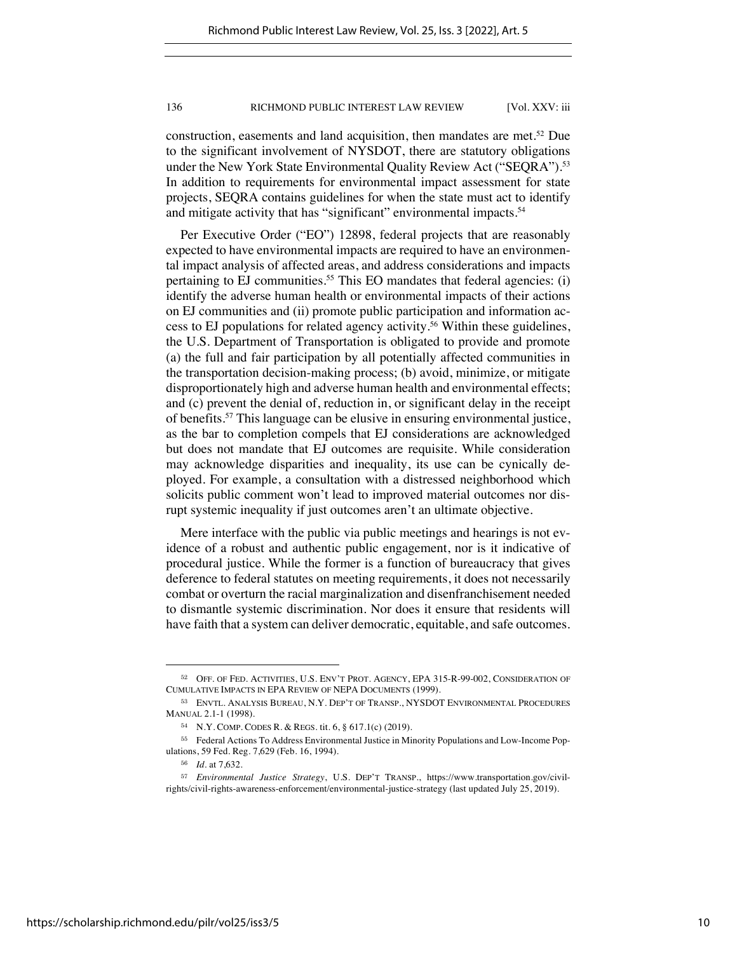construction, easements and land acquisition, then mandates are met.<sup>52</sup> Due to the significant involvement of NYSDOT, there are statutory obligations under the New York State Environmental Quality Review Act ("SEQRA").<sup>53</sup> In addition to requirements for environmental impact assessment for state projects, SEQRA contains guidelines for when the state must act to identify and mitigate activity that has "significant" environmental impacts.<sup>54</sup>

Per Executive Order ("EO") 12898, federal projects that are reasonably expected to have environmental impacts are required to have an environmental impact analysis of affected areas, and address considerations and impacts pertaining to EJ communities.<sup>55</sup> This EO mandates that federal agencies: (i) identify the adverse human health or environmental impacts of their actions on EJ communities and (ii) promote public participation and information access to EJ populations for related agency activity.56 Within these guidelines, the U.S. Department of Transportation is obligated to provide and promote (a) the full and fair participation by all potentially affected communities in the transportation decision-making process; (b) avoid, minimize, or mitigate disproportionately high and adverse human health and environmental effects; and (c) prevent the denial of, reduction in, or significant delay in the receipt of benefits.57 This language can be elusive in ensuring environmental justice, as the bar to completion compels that EJ considerations are acknowledged but does not mandate that EJ outcomes are requisite. While consideration may acknowledge disparities and inequality, its use can be cynically deployed. For example, a consultation with a distressed neighborhood which solicits public comment won't lead to improved material outcomes nor disrupt systemic inequality if just outcomes aren't an ultimate objective.

Mere interface with the public via public meetings and hearings is not evidence of a robust and authentic public engagement, nor is it indicative of procedural justice. While the former is a function of bureaucracy that gives deference to federal statutes on meeting requirements, it does not necessarily combat or overturn the racial marginalization and disenfranchisement needed to dismantle systemic discrimination. Nor does it ensure that residents will have faith that a system can deliver democratic, equitable, and safe outcomes.

<sup>52</sup> OFF. OF FED. ACTIVITIES, U.S. ENV'T PROT. AGENCY, EPA 315-R-99-002, CONSIDERATION OF CUMULATIVE IMPACTS IN EPA REVIEW OF NEPA DOCUMENTS (1999).

<sup>53</sup> ENVTL. ANALYSIS BUREAU, N.Y. DEP'T OF TRANSP., NYSDOT ENVIRONMENTAL PROCEDURES MANUAL 2.1-1 (1998).

<sup>54</sup> N.Y. COMP. CODES R. & REGS. tit. 6, § 617.1(c) (2019).

<sup>55</sup> Federal Actions To Address Environmental Justice in Minority Populations and Low-Income Populations, 59 Fed. Reg. 7,629 (Feb. 16, 1994).

<sup>56</sup> *Id.* at 7,632.

<sup>57</sup> *Environmental Justice Strategy*, U.S. DEP'T TRANSP., https://www.transportation.gov/civilrights/civil-rights-awareness-enforcement/environmental-justice-strategy (last updated July 25, 2019).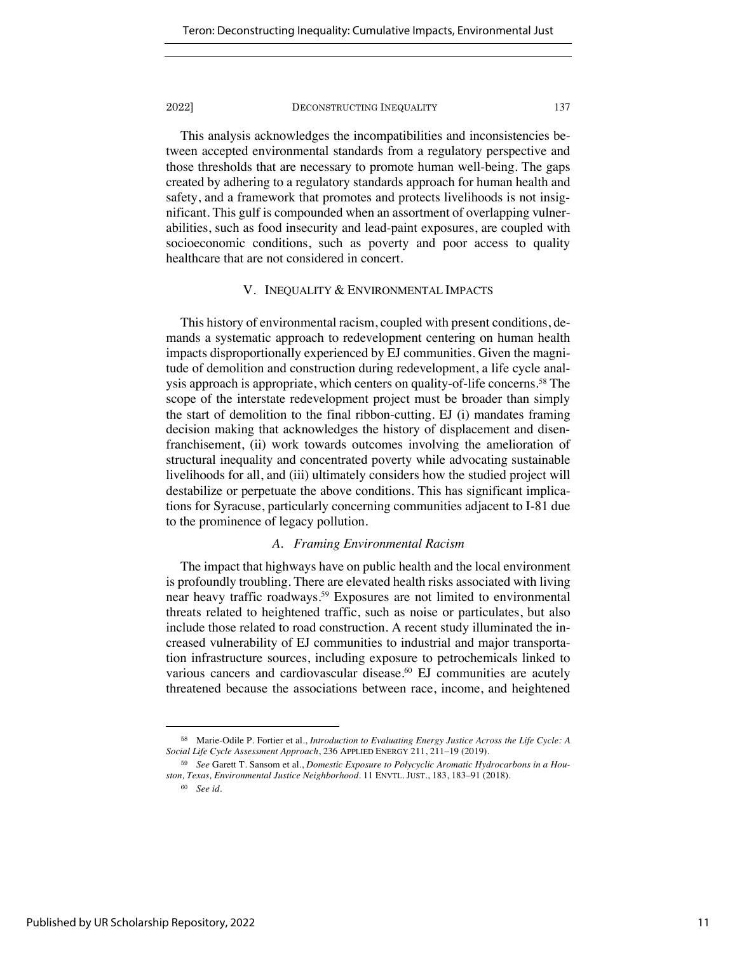This analysis acknowledges the incompatibilities and inconsistencies between accepted environmental standards from a regulatory perspective and those thresholds that are necessary to promote human well-being. The gaps created by adhering to a regulatory standards approach for human health and safety, and a framework that promotes and protects livelihoods is not insignificant. This gulf is compounded when an assortment of overlapping vulnerabilities, such as food insecurity and lead-paint exposures, are coupled with socioeconomic conditions, such as poverty and poor access to quality healthcare that are not considered in concert.

# V. INEQUALITY & ENVIRONMENTAL IMPACTS

This history of environmental racism, coupled with present conditions, demands a systematic approach to redevelopment centering on human health impacts disproportionally experienced by EJ communities. Given the magnitude of demolition and construction during redevelopment, a life cycle analysis approach is appropriate, which centers on quality-of-life concerns.<sup>58</sup> The scope of the interstate redevelopment project must be broader than simply the start of demolition to the final ribbon-cutting. EJ (i) mandates framing decision making that acknowledges the history of displacement and disenfranchisement, (ii) work towards outcomes involving the amelioration of structural inequality and concentrated poverty while advocating sustainable livelihoods for all, and (iii) ultimately considers how the studied project will destabilize or perpetuate the above conditions. This has significant implications for Syracuse, particularly concerning communities adjacent to I-81 due to the prominence of legacy pollution.

# *A. Framing Environmental Racism*

The impact that highways have on public health and the local environment is profoundly troubling. There are elevated health risks associated with living near heavy traffic roadways.59 Exposures are not limited to environmental threats related to heightened traffic, such as noise or particulates, but also include those related to road construction. A recent study illuminated the increased vulnerability of EJ communities to industrial and major transportation infrastructure sources, including exposure to petrochemicals linked to various cancers and cardiovascular disease.<sup>60</sup> EJ communities are acutely threatened because the associations between race, income, and heightened

<sup>58</sup> Marie-Odile P. Fortier et al., *Introduction to Evaluating Energy Justice Across the Life Cycle: A Social Life Cycle Assessment Approach*, 236 APPLIED ENERGY 211, 211–19 (2019).

<sup>59</sup> *See* Garett T. Sansom et al., *Domestic Exposure to Polycyclic Aromatic Hydrocarbons in a Houston, Texas, Environmental Justice Neighborhood*. 11 ENVTL. JUST., 183, 183–91 (2018).

<sup>60</sup> *See id.*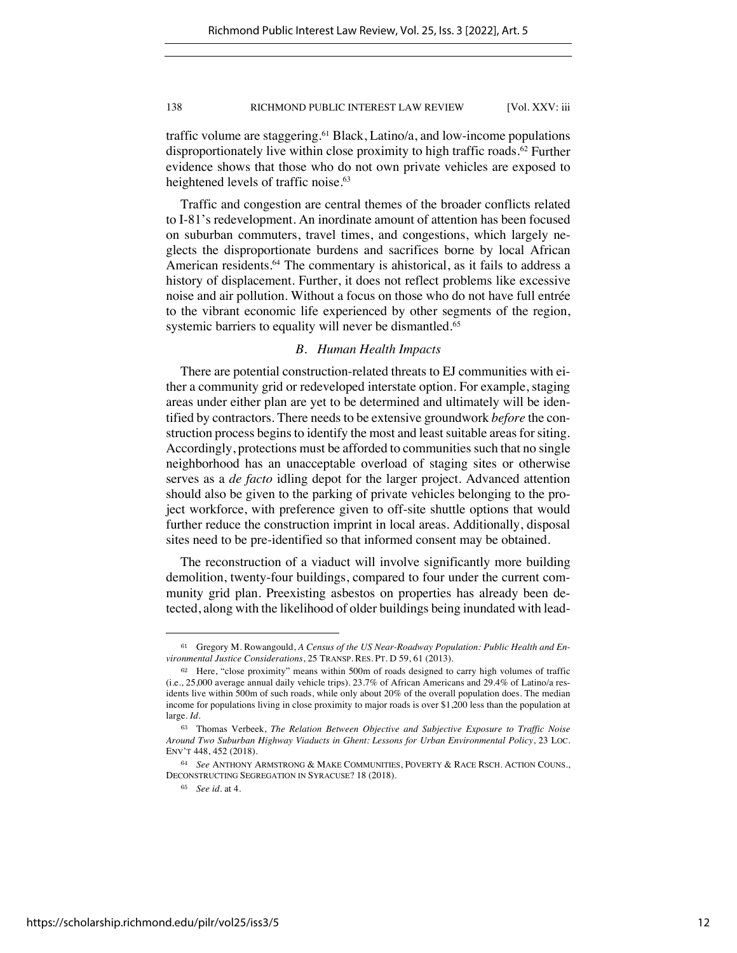traffic volume are staggering.<sup>61</sup> Black, Latino/a, and low-income populations disproportionately live within close proximity to high traffic roads.62 Further evidence shows that those who do not own private vehicles are exposed to heightened levels of traffic noise.<sup>63</sup>

Traffic and congestion are central themes of the broader conflicts related to I-81's redevelopment. An inordinate amount of attention has been focused on suburban commuters, travel times, and congestions, which largely neglects the disproportionate burdens and sacrifices borne by local African American residents.<sup>64</sup> The commentary is ahistorical, as it fails to address a history of displacement. Further, it does not reflect problems like excessive noise and air pollution. Without a focus on those who do not have full entrée to the vibrant economic life experienced by other segments of the region, systemic barriers to equality will never be dismantled.<sup>65</sup>

# *B. Human Health Impacts*

There are potential construction-related threats to EJ communities with either a community grid or redeveloped interstate option. For example, staging areas under either plan are yet to be determined and ultimately will be identified by contractors. There needs to be extensive groundwork *before* the construction process begins to identify the most and least suitable areas for siting. Accordingly, protections must be afforded to communities such that no single neighborhood has an unacceptable overload of staging sites or otherwise serves as a *de facto* idling depot for the larger project. Advanced attention should also be given to the parking of private vehicles belonging to the project workforce, with preference given to off-site shuttle options that would further reduce the construction imprint in local areas. Additionally, disposal sites need to be pre-identified so that informed consent may be obtained.

The reconstruction of a viaduct will involve significantly more building demolition, twenty-four buildings, compared to four under the current community grid plan. Preexisting asbestos on properties has already been detected, along with the likelihood of older buildings being inundated with lead-

<sup>61</sup> Gregory M. Rowangould, *A Census of the US Near-Roadway Population: Public Health and Environmental Justice Considerations*, 25 TRANSP. RES. PT. D 59, 61 (2013).

<sup>62</sup> Here, "close proximity" means within 500m of roads designed to carry high volumes of traffic (i.e., 25,000 average annual daily vehicle trips). 23.7% of African Americans and 29.4% of Latino/a residents live within 500m of such roads, while only about 20% of the overall population does. The median income for populations living in close proximity to major roads is over \$1,200 less than the population at large. *Id.*

<sup>63</sup> Thomas Verbeek, *The Relation Between Objective and Subjective Exposure to Traffic Noise Around Two Suburban Highway Viaducts in Ghent: Lessons for Urban Environmental Policy*, 23 LOC. ENV'T 448, 452 (2018).

<sup>64</sup> *See* ANTHONY ARMSTRONG & MAKE COMMUNITIES, POVERTY & RACE RSCH. ACTION COUNS., DECONSTRUCTING SEGREGATION IN SYRACUSE? 18 (2018).

<sup>65</sup> *See id.* at 4.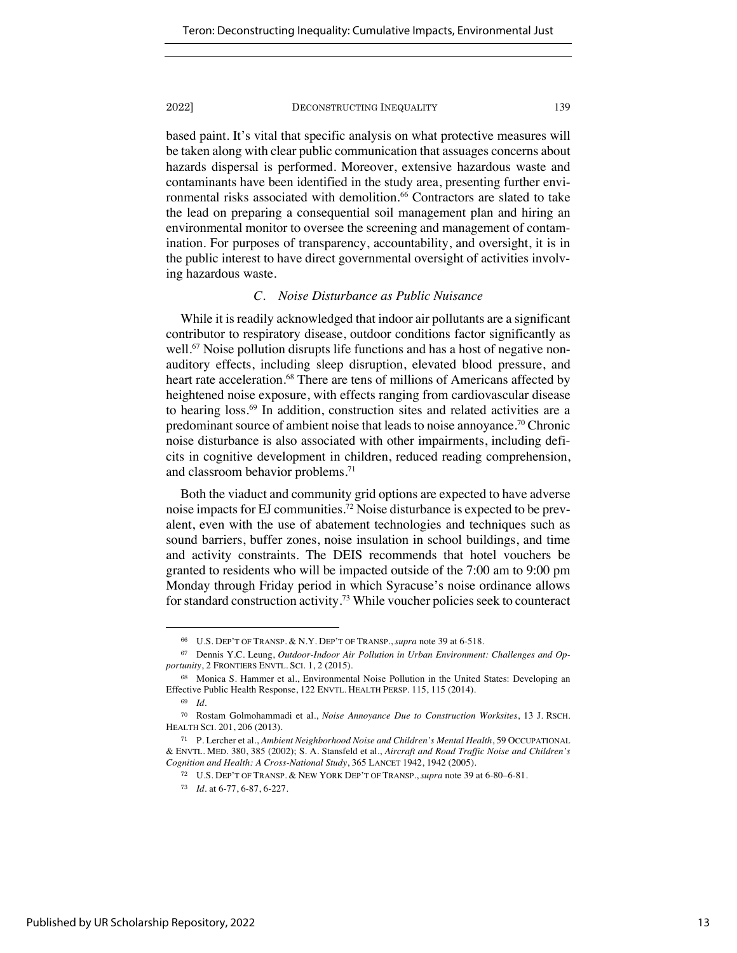based paint. It's vital that specific analysis on what protective measures will be taken along with clear public communication that assuages concerns about hazards dispersal is performed. Moreover, extensive hazardous waste and contaminants have been identified in the study area, presenting further environmental risks associated with demolition.<sup>66</sup> Contractors are slated to take the lead on preparing a consequential soil management plan and hiring an environmental monitor to oversee the screening and management of contamination. For purposes of transparency, accountability, and oversight, it is in the public interest to have direct governmental oversight of activities involving hazardous waste.

# *C. Noise Disturbance as Public Nuisance*

While it is readily acknowledged that indoor air pollutants are a significant contributor to respiratory disease, outdoor conditions factor significantly as well.<sup>67</sup> Noise pollution disrupts life functions and has a host of negative nonauditory effects, including sleep disruption, elevated blood pressure, and heart rate acceleration.<sup>68</sup> There are tens of millions of Americans affected by heightened noise exposure, with effects ranging from cardiovascular disease to hearing loss.69 In addition, construction sites and related activities are a predominant source of ambient noise that leads to noise annoyance.70 Chronic noise disturbance is also associated with other impairments, including deficits in cognitive development in children, reduced reading comprehension, and classroom behavior problems.<sup>71</sup>

Both the viaduct and community grid options are expected to have adverse noise impacts for EJ communities.72 Noise disturbance is expected to be prevalent, even with the use of abatement technologies and techniques such as sound barriers, buffer zones, noise insulation in school buildings, and time and activity constraints. The DEIS recommends that hotel vouchers be granted to residents who will be impacted outside of the 7:00 am to 9:00 pm Monday through Friday period in which Syracuse's noise ordinance allows for standard construction activity.73 While voucher policies seek to counteract

<sup>66</sup> U.S. DEP'T OF TRANSP. & N.Y. DEP'T OF TRANSP., *supra* note 39 at 6-518.

<sup>67</sup> Dennis Y.C. Leung, *Outdoor-Indoor Air Pollution in Urban Environment: Challenges and Opportunity*, 2 FRONTIERS ENVTL. SCI. 1, 2 (2015).

<sup>68</sup> Monica S. Hammer et al., Environmental Noise Pollution in the United States: Developing an Effective Public Health Response, 122 ENVTL. HEALTH PERSP. 115, 115 (2014).

<sup>69</sup> *Id.*

<sup>70</sup> Rostam Golmohammadi et al., *Noise Annoyance Due to Construction Worksites*, 13 J. RSCH. HEALTH SCI. 201, 206 (2013).

<sup>71</sup> P. Lercher et al., *Ambient Neighborhood Noise and Children's Mental Health*, 59 OCCUPATIONAL & ENVTL. MED. 380, 385 (2002); S. A. Stansfeld et al., *Aircraft and Road Traffic Noise and Children's Cognition and Health: A Cross-National Study*, 365 LANCET 1942, 1942 (2005).

<sup>72</sup> U.S. DEP'T OF TRANSP. & NEW YORK DEP'T OF TRANSP., *supra* note 39 at 6-80–6-81.

<sup>73</sup> *Id.* at 6-77, 6-87, 6-227.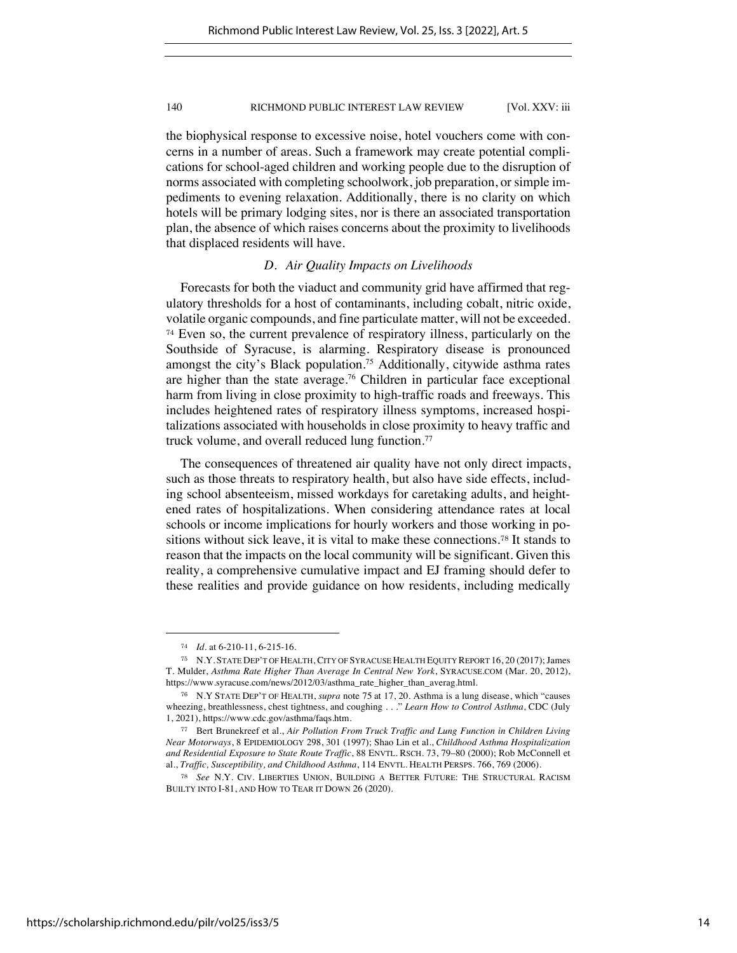the biophysical response to excessive noise, hotel vouchers come with concerns in a number of areas. Such a framework may create potential complications for school-aged children and working people due to the disruption of norms associated with completing schoolwork, job preparation, or simple impediments to evening relaxation. Additionally, there is no clarity on which hotels will be primary lodging sites, nor is there an associated transportation plan, the absence of which raises concerns about the proximity to livelihoods that displaced residents will have.

# *D. Air Quality Impacts on Livelihoods*

Forecasts for both the viaduct and community grid have affirmed that regulatory thresholds for a host of contaminants, including cobalt, nitric oxide, volatile organic compounds, and fine particulate matter, will not be exceeded. <sup>74</sup> Even so, the current prevalence of respiratory illness, particularly on the Southside of Syracuse, is alarming. Respiratory disease is pronounced amongst the city's Black population.<sup>75</sup> Additionally, citywide asthma rates are higher than the state average.<sup>76</sup> Children in particular face exceptional harm from living in close proximity to high-traffic roads and freeways. This includes heightened rates of respiratory illness symptoms, increased hospitalizations associated with households in close proximity to heavy traffic and truck volume, and overall reduced lung function.<sup>77</sup>

The consequences of threatened air quality have not only direct impacts, such as those threats to respiratory health, but also have side effects, including school absenteeism, missed workdays for caretaking adults, and heightened rates of hospitalizations. When considering attendance rates at local schools or income implications for hourly workers and those working in positions without sick leave, it is vital to make these connections.<sup>78</sup> It stands to reason that the impacts on the local community will be significant. Given this reality, a comprehensive cumulative impact and EJ framing should defer to these realities and provide guidance on how residents, including medically

<sup>74</sup> *Id.* at 6-210-11, 6-215-16.

<sup>75</sup> N.Y. STATE DEP'T OF HEALTH, CITY OF SYRACUSE HEALTH EQUITY REPORT 16, 20 (2017); James T. Mulder, *Asthma Rate Higher Than Average In Central New York*, SYRACUSE.COM (Mar. 20, 2012), https://www.syracuse.com/news/2012/03/asthma\_rate\_higher\_than\_averag.html.

<sup>76</sup> N.Y STATE DEP'T OF HEALTH, *supra* note 75 at 17, 20. Asthma is a lung disease, which "causes wheezing, breathlessness, chest tightness, and coughing . . ." *Learn How to Control Asthma*, CDC (July 1, 2021), https://www.cdc.gov/asthma/faqs.htm.

<sup>77</sup> Bert Brunekreef et al., *Air Pollution From Truck Traffic and Lung Function in Children Living Near Motorways*, 8 EPIDEMIOLOGY 298, 301 (1997); Shao Lin et al., *Childhood Asthma Hospitalization and Residential Exposure to State Route Traffic*, 88 ENVTL. RSCH. 73, 79–80 (2000); Rob McConnell et al., *Traffic, Susceptibility, and Childhood Asthma*, 114 ENVTL. HEALTH PERSPS. 766, 769 (2006).

<sup>78</sup> *See* N.Y. CIV. LIBERTIES UNION, BUILDING A BETTER FUTURE: THE STRUCTURAL RACISM BUILTY INTO I-81, AND HOW TO TEAR IT DOWN 26 (2020).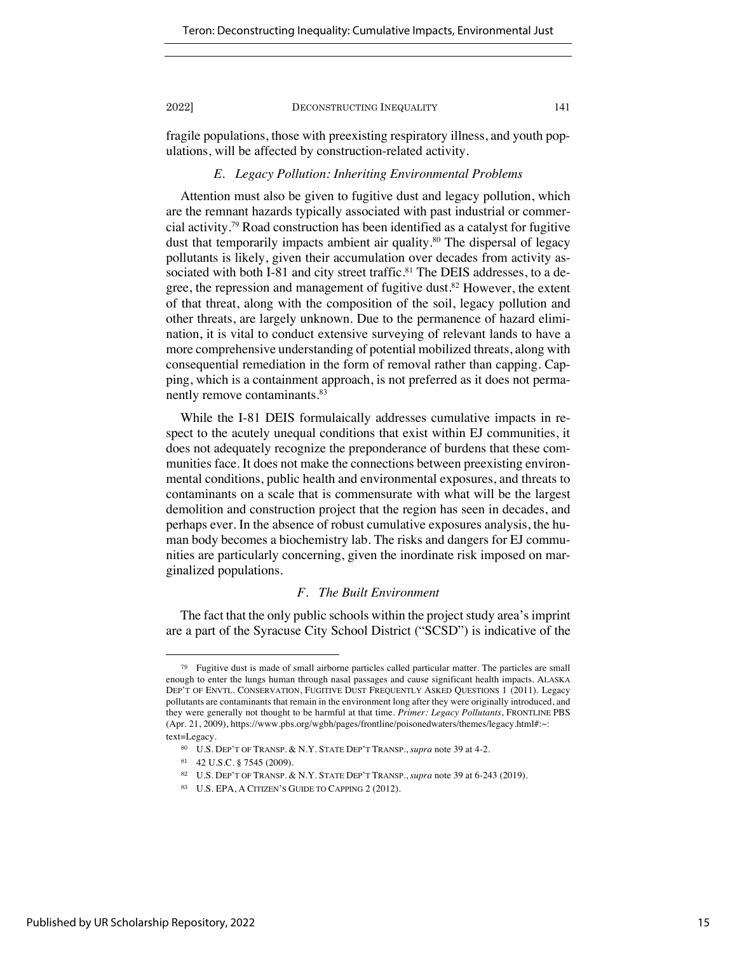fragile populations, those with preexisting respiratory illness, and youth populations, will be affected by construction-related activity.

# *E. Legacy Pollution: Inheriting Environmental Problems*

Attention must also be given to fugitive dust and legacy pollution, which are the remnant hazards typically associated with past industrial or commercial activity.79 Road construction has been identified as a catalyst for fugitive dust that temporarily impacts ambient air quality.<sup>80</sup> The dispersal of legacy pollutants is likely, given their accumulation over decades from activity associated with both I-81 and city street traffic.<sup>81</sup> The DEIS addresses, to a degree, the repression and management of fugitive dust.<sup>82</sup> However, the extent of that threat, along with the composition of the soil, legacy pollution and other threats, are largely unknown. Due to the permanence of hazard elimination, it is vital to conduct extensive surveying of relevant lands to have a more comprehensive understanding of potential mobilized threats, along with consequential remediation in the form of removal rather than capping. Capping, which is a containment approach, is not preferred as it does not permanently remove contaminants.<sup>83</sup>

While the I-81 DEIS formulaically addresses cumulative impacts in respect to the acutely unequal conditions that exist within EJ communities, it does not adequately recognize the preponderance of burdens that these communities face. It does not make the connections between preexisting environmental conditions, public health and environmental exposures, and threats to contaminants on a scale that is commensurate with what will be the largest demolition and construction project that the region has seen in decades, and perhaps ever. In the absence of robust cumulative exposures analysis, the human body becomes a biochemistry lab. The risks and dangers for EJ communities are particularly concerning, given the inordinate risk imposed on marginalized populations.

# *F. The Built Environment*

The fact that the only public schools within the project study area's imprint are a part of the Syracuse City School District ("SCSD") is indicative of the

<sup>79</sup> Fugitive dust is made of small airborne particles called particular matter. The particles are small enough to enter the lungs human through nasal passages and cause significant health impacts. ALASKA DEP'T OF ENVTL. CONSERVATION, FUGITIVE DUST FREQUENTLY ASKED QUESTIONS 1 (2011). Legacy pollutants are contaminants that remain in the environment long after they were originally introduced, and they were generally not thought to be harmful at that time. *Primer: Legacy Pollutants*, FRONTLINE PBS (Apr. 21, 2009), https://www.pbs.org/wgbh/pages/frontline/poisonedwaters/themes/legacy.html#:~: text=Legacy.

<sup>80</sup> U.S. DEP'T OF TRANSP. & N.Y. STATE DEP'T TRANSP., *supra* note 39 at 4-2.

<sup>81</sup> 42 U.S.C. § 7545 (2009).

<sup>82</sup> U.S. DEP'T OF TRANSP. & N.Y. STATE DEP'T TRANSP., *supra* note 39 at 6-243 (2019).

<sup>83</sup> U.S. EPA, A CITIZEN'S GUIDE TO CAPPING 2 (2012).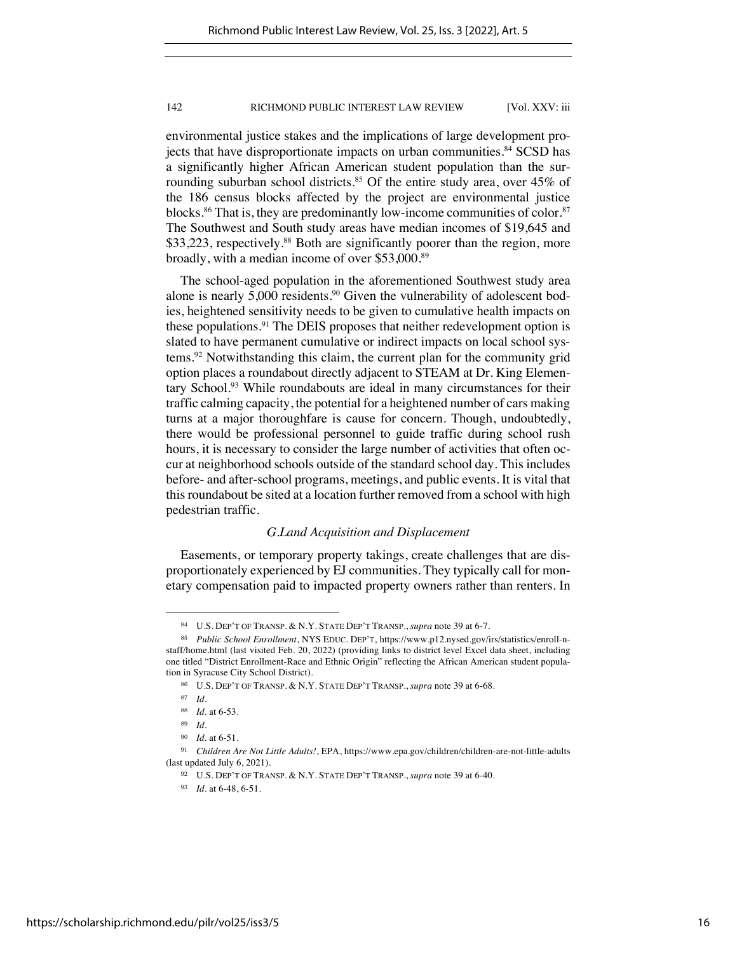environmental justice stakes and the implications of large development projects that have disproportionate impacts on urban communities.<sup>84</sup> SCSD has a significantly higher African American student population than the surrounding suburban school districts.<sup>85</sup> Of the entire study area, over  $45\%$  of the 186 census blocks affected by the project are environmental justice blocks.<sup>86</sup> That is, they are predominantly low-income communities of color.<sup>87</sup> The Southwest and South study areas have median incomes of \$19,645 and \$33,223, respectively.<sup>88</sup> Both are significantly poorer than the region, more broadly, with a median income of over \$53,000.89

The school-aged population in the aforementioned Southwest study area alone is nearly 5,000 residents.<sup>90</sup> Given the vulnerability of adolescent bodies, heightened sensitivity needs to be given to cumulative health impacts on these populations.<sup>91</sup> The DEIS proposes that neither redevelopment option is slated to have permanent cumulative or indirect impacts on local school systems.92 Notwithstanding this claim, the current plan for the community grid option places a roundabout directly adjacent to STEAM at Dr. King Elementary School.93 While roundabouts are ideal in many circumstances for their traffic calming capacity, the potential for a heightened number of cars making turns at a major thoroughfare is cause for concern. Though, undoubtedly, there would be professional personnel to guide traffic during school rush hours, it is necessary to consider the large number of activities that often occur at neighborhood schools outside of the standard school day. This includes before- and after-school programs, meetings, and public events. It is vital that this roundabout be sited at a location further removed from a school with high pedestrian traffic.

# *G.Land Acquisition and Displacement*

Easements, or temporary property takings, create challenges that are disproportionately experienced by EJ communities. They typically call for monetary compensation paid to impacted property owners rather than renters. In

<sup>84</sup> U.S. DEP'T OF TRANSP. & N.Y. STATE DEP'T TRANSP., *supra* note 39 at 6-7.

<sup>85</sup> *Public School Enrollment*, NYS EDUC. DEP'T, https://www.p12.nysed.gov/irs/statistics/enroll-nstaff/home.html (last visited Feb. 20, 2022) (providing links to district level Excel data sheet, including one titled "District Enrollment-Race and Ethnic Origin" reflecting the African American student population in Syracuse City School District).

<sup>86</sup> U.S. DEP'T OF TRANSP. & N.Y. STATE DEP'T TRANSP., *supra* note 39 at 6-68.

<sup>87</sup> *Id.* 

<sup>88</sup> *Id.* at 6-53.

<sup>89</sup> *Id.* 

<sup>90</sup> *Id.* at 6-51.

<sup>91</sup> *Children Are Not Little Adults!*, EPA, https://www.epa.gov/children/children-are-not-little-adults (last updated July 6, 2021).

<sup>92</sup> U.S. DEP'T OF TRANSP. & N.Y. STATE DEP'T TRANSP., *supra* note 39 at 6-40.

<sup>93</sup> *Id.* at 6-48, 6-51.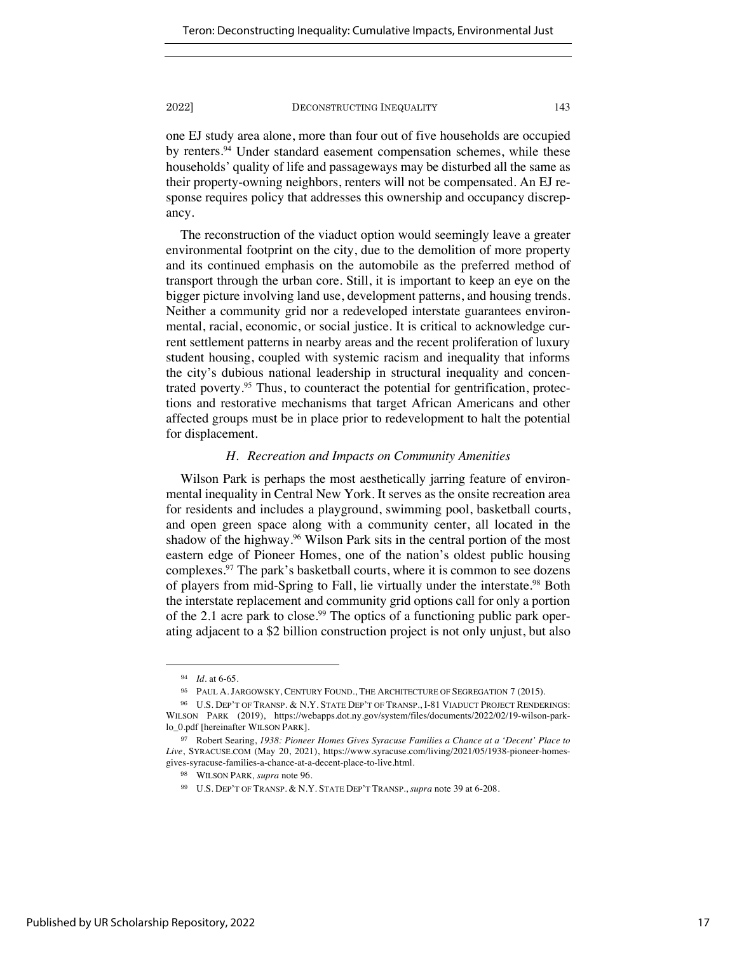one EJ study area alone, more than four out of five households are occupied by renters.<sup>94</sup> Under standard easement compensation schemes, while these households' quality of life and passageways may be disturbed all the same as their property-owning neighbors, renters will not be compensated. An EJ response requires policy that addresses this ownership and occupancy discrepancy.

The reconstruction of the viaduct option would seemingly leave a greater environmental footprint on the city, due to the demolition of more property and its continued emphasis on the automobile as the preferred method of transport through the urban core. Still, it is important to keep an eye on the bigger picture involving land use, development patterns, and housing trends. Neither a community grid nor a redeveloped interstate guarantees environmental, racial, economic, or social justice. It is critical to acknowledge current settlement patterns in nearby areas and the recent proliferation of luxury student housing, coupled with systemic racism and inequality that informs the city's dubious national leadership in structural inequality and concentrated poverty.<sup>95</sup> Thus, to counteract the potential for gentrification, protections and restorative mechanisms that target African Americans and other affected groups must be in place prior to redevelopment to halt the potential for displacement.

# *H. Recreation and Impacts on Community Amenities*

Wilson Park is perhaps the most aesthetically jarring feature of environmental inequality in Central New York. It serves as the onsite recreation area for residents and includes a playground, swimming pool, basketball courts, and open green space along with a community center, all located in the shadow of the highway.<sup>96</sup> Wilson Park sits in the central portion of the most eastern edge of Pioneer Homes, one of the nation's oldest public housing complexes.97 The park's basketball courts, where it is common to see dozens of players from mid-Spring to Fall, lie virtually under the interstate.98 Both the interstate replacement and community grid options call for only a portion of the 2.1 acre park to close.<sup>99</sup> The optics of a functioning public park operating adjacent to a \$2 billion construction project is not only unjust, but also

<sup>94</sup> *Id.* at 6-65.

<sup>95</sup> PAUL A. JARGOWSKY, CENTURY FOUND., THE ARCHITECTURE OF SEGREGATION 7 (2015).

<sup>96</sup> U.S. DEP'T OF TRANSP. & N.Y. STATE DEP'T OF TRANSP., I-81 VIADUCT PROJECT RENDERINGS: WILSON PARK (2019), https://webapps.dot.ny.gov/system/files/documents/2022/02/19-wilson-parklo\_0.pdf [hereinafter WILSON PARK].

<sup>97</sup> Robert Searing, *1938: Pioneer Homes Gives Syracuse Families a Chance at a 'Decent' Place to Live*, SYRACUSE.COM (May 20, 2021), https://www.syracuse.com/living/2021/05/1938-pioneer-homesgives-syracuse-families-a-chance-at-a-decent-place-to-live.html.

<sup>98</sup> WILSON PARK*, supra* note 96.

<sup>99</sup> U.S. DEP'T OF TRANSP. & N.Y. STATE DEP'T TRANSP., *supra* note 39 at 6-208.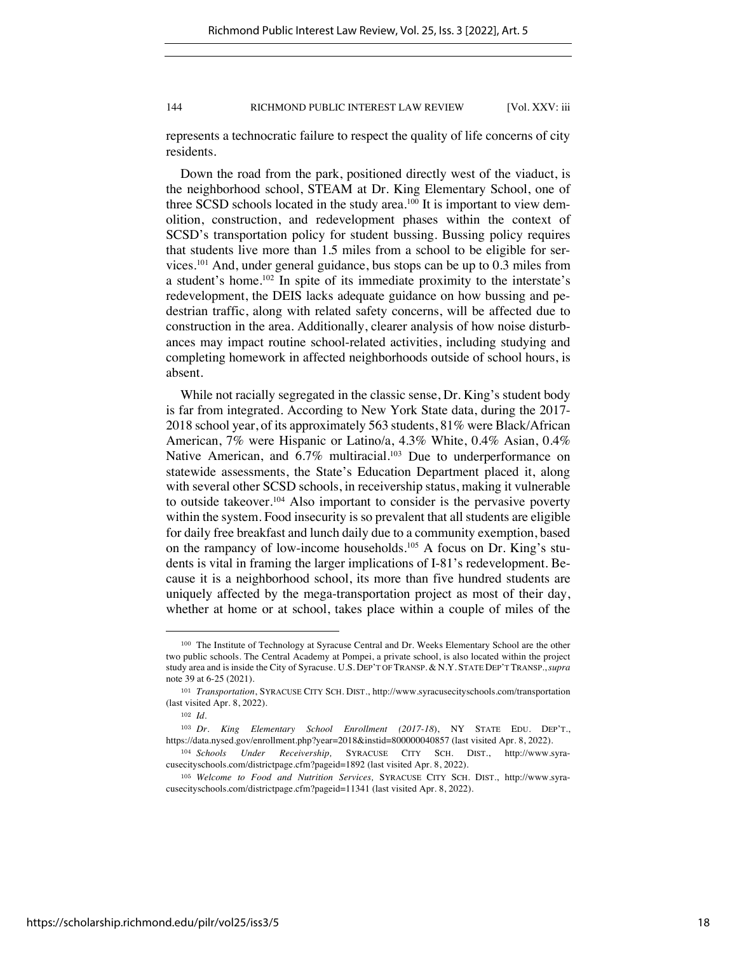represents a technocratic failure to respect the quality of life concerns of city residents.

Down the road from the park, positioned directly west of the viaduct, is the neighborhood school, STEAM at Dr. King Elementary School, one of three SCSD schools located in the study area.<sup>100</sup> It is important to view demolition, construction, and redevelopment phases within the context of SCSD's transportation policy for student bussing. Bussing policy requires that students live more than 1.5 miles from a school to be eligible for services.101 And, under general guidance, bus stops can be up to 0.3 miles from a student's home.102 In spite of its immediate proximity to the interstate's redevelopment, the DEIS lacks adequate guidance on how bussing and pedestrian traffic, along with related safety concerns, will be affected due to construction in the area. Additionally, clearer analysis of how noise disturbances may impact routine school-related activities, including studying and completing homework in affected neighborhoods outside of school hours, is absent.

While not racially segregated in the classic sense, Dr. King's student body is far from integrated. According to New York State data, during the 2017- 2018 school year, of its approximately 563 students, 81% were Black/African American, 7% were Hispanic or Latino/a, 4.3% White, 0.4% Asian, 0.4% Native American, and 6.7% multiracial.<sup>103</sup> Due to underperformance on statewide assessments, the State's Education Department placed it, along with several other SCSD schools, in receivership status, making it vulnerable to outside takeover.<sup>104</sup> Also important to consider is the pervasive poverty within the system. Food insecurity is so prevalent that all students are eligible for daily free breakfast and lunch daily due to a community exemption, based on the rampancy of low-income households.<sup>105</sup> A focus on Dr. King's students is vital in framing the larger implications of I-81's redevelopment. Because it is a neighborhood school, its more than five hundred students are uniquely affected by the mega-transportation project as most of their day, whether at home or at school, takes place within a couple of miles of the

<sup>100</sup> The Institute of Technology at Syracuse Central and Dr. Weeks Elementary School are the other two public schools. The Central Academy at Pompei, a private school, is also located within the project study area and is inside the City of Syracuse. U.S. DEP'T OF TRANSP. & N.Y. STATE DEP'T TRANSP.,*supra*  note 39 at 6-25 (2021).

<sup>101</sup> *Transportation*, SYRACUSE CITY SCH. DIST., http://www.syracusecityschools.com/transportation (last visited Apr. 8, 2022).

<sup>102</sup> *Id.*

<sup>103</sup> *Dr. King Elementary School Enrollment (2017-18*), NY STATE EDU. DEP'T., https://data.nysed.gov/enrollment.php?year=2018&instid=800000040857 (last visited Apr. 8, 2022).

<sup>104</sup> *Schools Under Receivership,* SYRACUSE CITY SCH. DIST., http://www.syracusecityschools.com/districtpage.cfm?pageid=1892 (last visited Apr. 8, 2022).

<sup>105</sup> *Welcome to Food and Nutrition Services,* SYRACUSE CITY SCH. DIST., http://www.syracusecityschools.com/districtpage.cfm?pageid=11341 (last visited Apr. 8, 2022).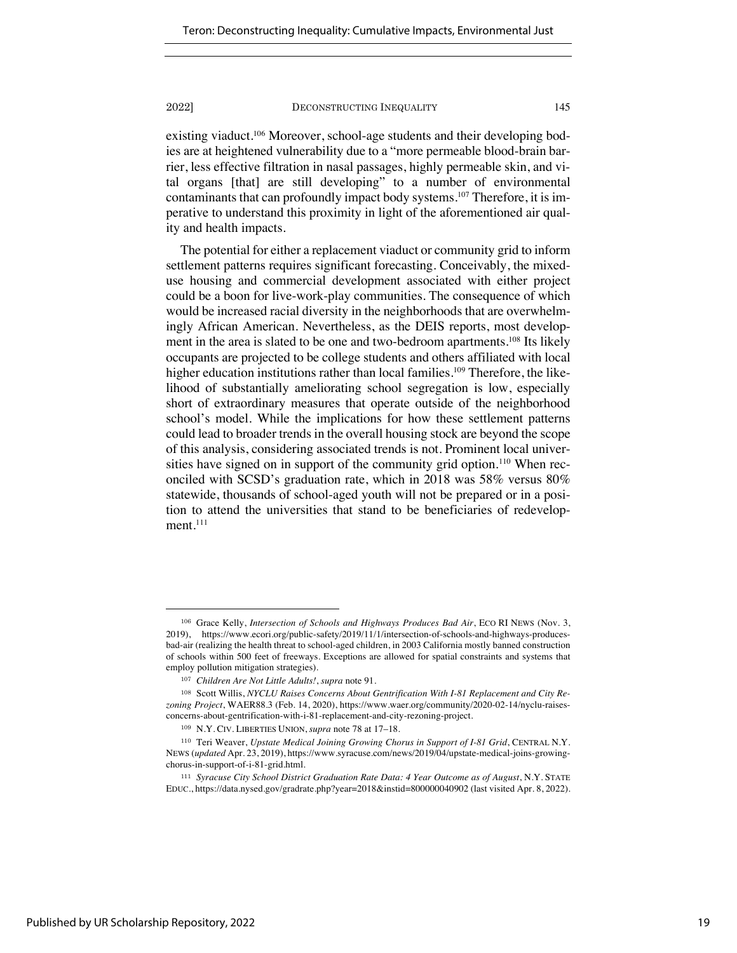existing viaduct.<sup>106</sup> Moreover, school-age students and their developing bodies are at heightened vulnerability due to a "more permeable blood-brain barrier, less effective filtration in nasal passages, highly permeable skin, and vital organs [that] are still developing" to a number of environmental contaminants that can profoundly impact body systems.<sup>107</sup> Therefore, it is imperative to understand this proximity in light of the aforementioned air quality and health impacts.

The potential for either a replacement viaduct or community grid to inform settlement patterns requires significant forecasting. Conceivably, the mixeduse housing and commercial development associated with either project could be a boon for live-work-play communities. The consequence of which would be increased racial diversity in the neighborhoods that are overwhelmingly African American. Nevertheless, as the DEIS reports, most development in the area is slated to be one and two-bedroom apartments.<sup>108</sup> Its likely occupants are projected to be college students and others affiliated with local higher education institutions rather than local families.<sup>109</sup> Therefore, the likelihood of substantially ameliorating school segregation is low, especially short of extraordinary measures that operate outside of the neighborhood school's model. While the implications for how these settlement patterns could lead to broader trends in the overall housing stock are beyond the scope of this analysis, considering associated trends is not. Prominent local universities have signed on in support of the community grid option.<sup>110</sup> When reconciled with SCSD's graduation rate, which in 2018 was 58% versus 80% statewide, thousands of school-aged youth will not be prepared or in a position to attend the universities that stand to be beneficiaries of redevelopment.<sup>111</sup>

<sup>106</sup> Grace Kelly, *Intersection of Schools and Highways Produces Bad Air*, ECO RI NEWS (Nov. 3, 2019), https://www.ecori.org/public-safety/2019/11/1/intersection-of-schools-and-highways-producesbad-air (realizing the health threat to school-aged children, in 2003 California mostly banned construction of schools within 500 feet of freeways. Exceptions are allowed for spatial constraints and systems that employ pollution mitigation strategies).

<sup>107</sup> *Children Are Not Little Adults!*, *supra* note 91.

<sup>108</sup> Scott Willis, *NYCLU Raises Concerns About Gentrification With I-81 Replacement and City Rezoning Project*, WAER88.3 (Feb. 14, 2020), https://www.waer.org/community/2020-02-14/nyclu-raisesconcerns-about-gentrification-with-i-81-replacement-and-city-rezoning-project.

<sup>109</sup> N.Y. CIV. LIBERTIES UNION, *supra* note 78 at 17–18.

<sup>110</sup> Teri Weaver, *Upstate Medical Joining Growing Chorus in Support of I-81 Grid*, CENTRAL N.Y. NEWS (*updated* Apr. 23, 2019), https://www.syracuse.com/news/2019/04/upstate-medical-joins-growingchorus-in-support-of-i-81-grid.html.

<sup>111</sup> *Syracuse City School District Graduation Rate Data: 4 Year Outcome as of August*, N.Y. STATE EDUC., https://data.nysed.gov/gradrate.php?year=2018&instid=800000040902 (last visited Apr. 8, 2022).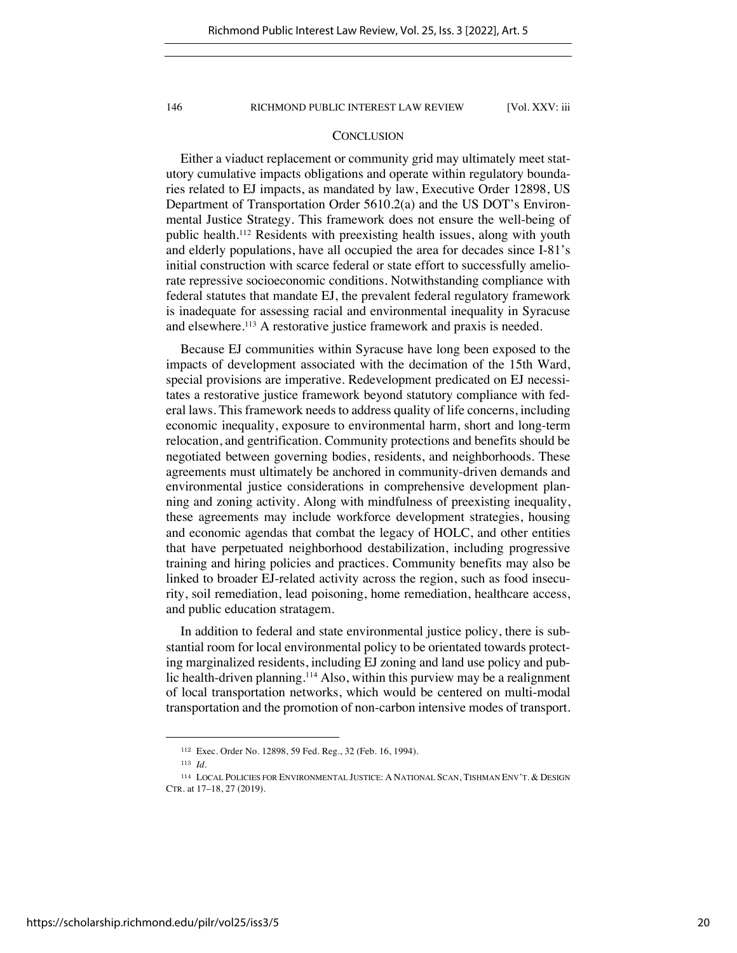# **CONCLUSION**

Either a viaduct replacement or community grid may ultimately meet statutory cumulative impacts obligations and operate within regulatory boundaries related to EJ impacts, as mandated by law, Executive Order 12898, US Department of Transportation Order 5610.2(a) and the US DOT's Environmental Justice Strategy. This framework does not ensure the well-being of public health.112 Residents with preexisting health issues, along with youth and elderly populations, have all occupied the area for decades since I-81's initial construction with scarce federal or state effort to successfully ameliorate repressive socioeconomic conditions. Notwithstanding compliance with federal statutes that mandate EJ, the prevalent federal regulatory framework is inadequate for assessing racial and environmental inequality in Syracuse and elsewhere.113 A restorative justice framework and praxis is needed.

Because EJ communities within Syracuse have long been exposed to the impacts of development associated with the decimation of the 15th Ward, special provisions are imperative. Redevelopment predicated on EJ necessitates a restorative justice framework beyond statutory compliance with federal laws. This framework needs to address quality of life concerns, including economic inequality, exposure to environmental harm, short and long-term relocation, and gentrification. Community protections and benefits should be negotiated between governing bodies, residents, and neighborhoods. These agreements must ultimately be anchored in community-driven demands and environmental justice considerations in comprehensive development planning and zoning activity. Along with mindfulness of preexisting inequality, these agreements may include workforce development strategies, housing and economic agendas that combat the legacy of HOLC, and other entities that have perpetuated neighborhood destabilization, including progressive training and hiring policies and practices. Community benefits may also be linked to broader EJ-related activity across the region, such as food insecurity, soil remediation, lead poisoning, home remediation, healthcare access, and public education stratagem.

In addition to federal and state environmental justice policy, there is substantial room for local environmental policy to be orientated towards protecting marginalized residents, including EJ zoning and land use policy and public health-driven planning.<sup>114</sup> Also, within this purview may be a realignment of local transportation networks, which would be centered on multi-modal transportation and the promotion of non-carbon intensive modes of transport.

<sup>112</sup> Exec. Order No. 12898, 59 Fed. Reg., 32 (Feb. 16, 1994).

<sup>113</sup> *Id.*

<sup>114</sup> LOCAL POLICIES FOR ENVIRONMENTAL JUSTICE: A NATIONAL SCAN, TISHMAN ENV'T. & DESIGN CTR. at 17–18, 27 (2019).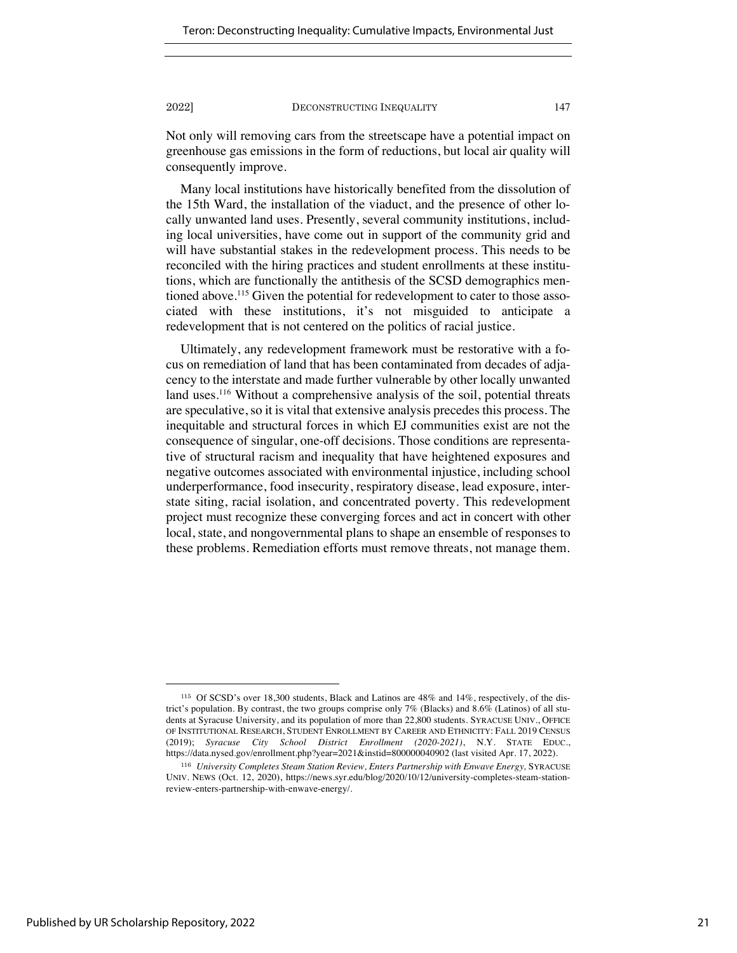Not only will removing cars from the streetscape have a potential impact on greenhouse gas emissions in the form of reductions, but local air quality will consequently improve.

Many local institutions have historically benefited from the dissolution of the 15th Ward, the installation of the viaduct, and the presence of other locally unwanted land uses. Presently, several community institutions, including local universities, have come out in support of the community grid and will have substantial stakes in the redevelopment process. This needs to be reconciled with the hiring practices and student enrollments at these institutions, which are functionally the antithesis of the SCSD demographics mentioned above.<sup>115</sup> Given the potential for redevelopment to cater to those associated with these institutions, it's not misguided to anticipate a redevelopment that is not centered on the politics of racial justice.

Ultimately, any redevelopment framework must be restorative with a focus on remediation of land that has been contaminated from decades of adjacency to the interstate and made further vulnerable by other locally unwanted land uses.<sup>116</sup> Without a comprehensive analysis of the soil, potential threats are speculative, so it is vital that extensive analysis precedes this process. The inequitable and structural forces in which EJ communities exist are not the consequence of singular, one-off decisions. Those conditions are representative of structural racism and inequality that have heightened exposures and negative outcomes associated with environmental injustice, including school underperformance, food insecurity, respiratory disease, lead exposure, interstate siting, racial isolation, and concentrated poverty. This redevelopment project must recognize these converging forces and act in concert with other local, state, and nongovernmental plans to shape an ensemble of responses to these problems. Remediation efforts must remove threats, not manage them.

<sup>115</sup> Of SCSD's over 18,300 students, Black and Latinos are 48% and 14%, respectively, of the district's population. By contrast, the two groups comprise only 7% (Blacks) and 8.6% (Latinos) of all students at Syracuse University, and its population of more than 22,800 students. SYRACUSE UNIV., OFFICE OF INSTITUTIONAL RESEARCH, STUDENT ENROLLMENT BY CAREER AND ETHNICITY: FALL 2019 CENSUS (2019); *Syracuse City School District Enrollment (2020-2021)*, N.Y. STATE EDUC., https://data.nysed.gov/enrollment.php?year=2021&instid=800000040902 (last visited Apr. 17, 2022).

<sup>&</sup>lt;sup>116</sup> University Completes Steam Station Review, Enters Partnership with Enwave Energy, SYRACUSE UNIV. NEWS (Oct. 12, 2020), https://news.syr.edu/blog/2020/10/12/university-completes-steam-stationreview-enters-partnership-with-enwave-energy/.